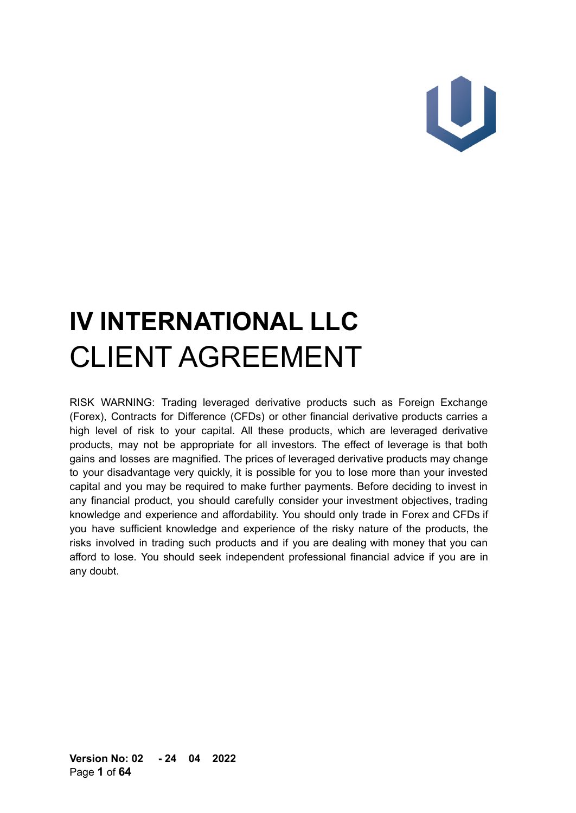# U

# **IV INTERNATIONAL LLC** CLIENT AGREEMENT

RISK WARNING: Trading leveraged derivative products such as Foreign Exchange (Forex), Contracts for Difference (CFDs) or other financial derivative products carries a high level of risk to your capital. All these products, which are leveraged derivative products, may not be appropriate for all investors. The effect of leverage is that both gains and losses are magnified. The prices of leveraged derivative products may change to your disadvantage very quickly, it is possible for you to lose more than your invested capital and you may be required to make further payments. Before deciding to invest in any financial product, you should carefully consider your investment objectives, trading knowledge and experience and affordability. You should only trade in Forex and CFDs if you have sufficient knowledge and experience of the risky nature of the products, the risks involved in trading such products and if you are dealing with money that you can afford to lose. You should seek independent professional financial advice if you are in any doubt.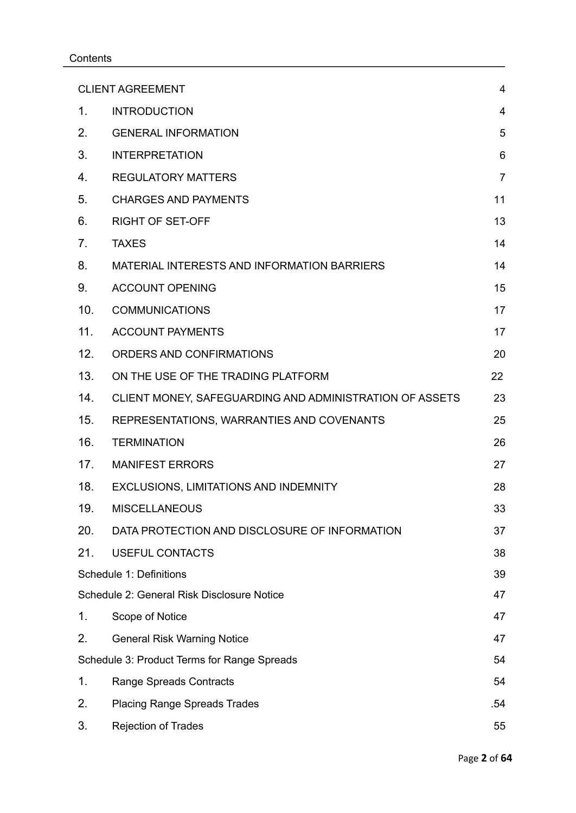#### **Contents**

| <b>CLIENT AGREEMENT</b>                     |                                                         | $\overline{4}$ |
|---------------------------------------------|---------------------------------------------------------|----------------|
| $\mathbf 1$ .                               | <b>INTRODUCTION</b>                                     | $\overline{4}$ |
| 2.                                          | <b>GENERAL INFORMATION</b>                              | 5              |
| 3.                                          | <b>INTERPRETATION</b>                                   | 6              |
| 4.                                          | <b>REGULATORY MATTERS</b>                               | $\overline{7}$ |
| 5.                                          | <b>CHARGES AND PAYMENTS</b>                             | 11             |
| 6.                                          | <b>RIGHT OF SET-OFF</b>                                 | 13             |
| 7.                                          | <b>TAXES</b>                                            | 14             |
| 8.                                          | MATERIAL INTERESTS AND INFORMATION BARRIERS             | 14             |
| 9.                                          | <b>ACCOUNT OPENING</b>                                  | 15             |
| 10 <sub>1</sub>                             | <b>COMMUNICATIONS</b>                                   | 17             |
| 11.                                         | <b>ACCOUNT PAYMENTS</b>                                 | 17             |
| 12.                                         | ORDERS AND CONFIRMATIONS                                | 20             |
| 13.                                         | ON THE USE OF THE TRADING PLATFORM                      | 22             |
| 14.                                         | CLIENT MONEY, SAFEGUARDING AND ADMINISTRATION OF ASSETS | 23             |
| 15.                                         | REPRESENTATIONS, WARRANTIES AND COVENANTS               | 25             |
| 16.                                         | <b>TERMINATION</b>                                      | 26             |
| 17.                                         | <b>MANIFEST ERRORS</b>                                  | 27             |
| 18.                                         | EXCLUSIONS, LIMITATIONS AND INDEMNITY                   | 28             |
| 19.                                         | <b>MISCELLANEOUS</b>                                    | 33             |
| 20.                                         | DATA PROTECTION AND DISCLOSURE OF INFORMATION           | 37             |
| 21.                                         | <b>USEFUL CONTACTS</b>                                  | 38             |
| Schedule 1: Definitions                     |                                                         | 39             |
|                                             | Schedule 2: General Risk Disclosure Notice              | 47             |
| 1.                                          | Scope of Notice                                         | 47             |
| 2.                                          | <b>General Risk Warning Notice</b>                      | 47             |
| Schedule 3: Product Terms for Range Spreads |                                                         | 54             |
| 1.                                          | Range Spreads Contracts                                 | 54             |
| 2.                                          | <b>Placing Range Spreads Trades</b>                     | .54            |
| 3.                                          | <b>Rejection of Trades</b>                              | 55             |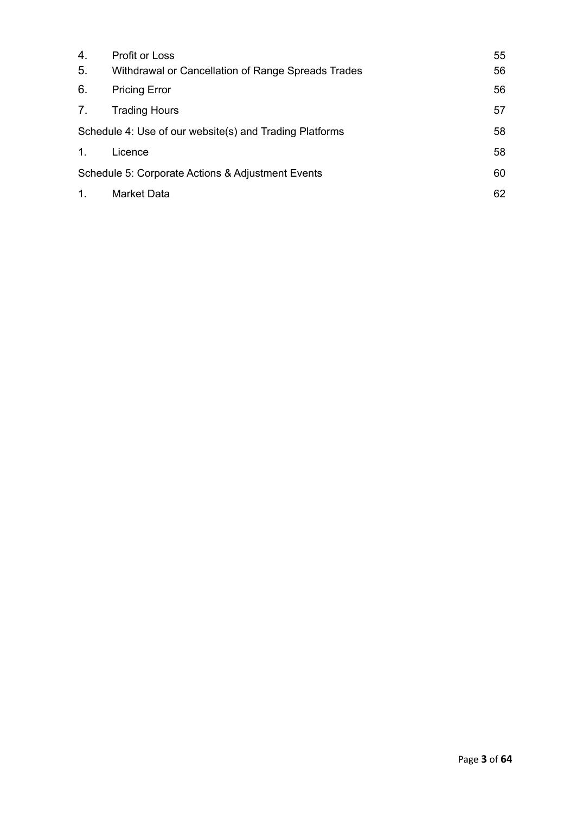| 4.                                                      | <b>Profit or Loss</b>                              | 55 |
|---------------------------------------------------------|----------------------------------------------------|----|
| 5.                                                      | Withdrawal or Cancellation of Range Spreads Trades | 56 |
| 6.                                                      | <b>Pricing Error</b>                               | 56 |
| 7.                                                      | <b>Trading Hours</b>                               | 57 |
| Schedule 4: Use of our website(s) and Trading Platforms |                                                    | 58 |
| 1.                                                      | Licence                                            | 58 |
| Schedule 5: Corporate Actions & Adjustment Events       |                                                    | 60 |
| 1.                                                      | <b>Market Data</b>                                 | 62 |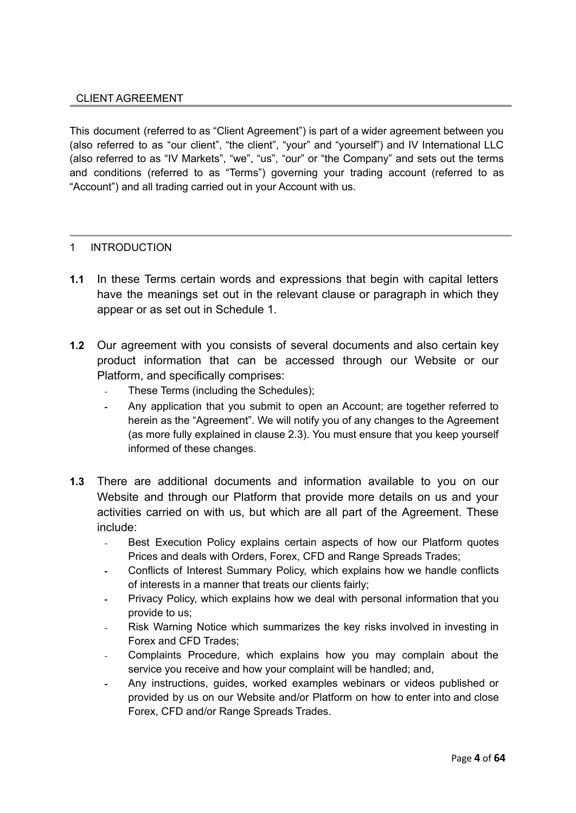#### <span id="page-3-0"></span>CLIENT AGREEMENT

This document (referred to as "Client Agreement") is part of a wider agreement between you (also referred to as "our client", "the client", "your" and "yourself") and IV International LLC (also referred to as "IV Markets", "we", "us", "our" or "the Company" and sets out the terms and conditions (referred to as "Terms") governing your trading account (referred to as "Account") and all trading carried out in your Account with us.

#### <span id="page-3-1"></span>1 INTRODUCTION

- **1.1** In these Terms certain words and expressions that begin with capital letters have the meanings set out in the relevant clause or paragraph in which they appear or as set out in Schedule 1.
- **1.2** Our agreement with you consists of several documents and also certain key product information that can be accessed through our Website or our Platform, and specifically comprises:
	- These Terms (including the Schedules);
	- Any application that you submit to open an Account; are together referred to  $\mathbf{L}$ herein as the "Agreement". We will notify you of any changes to the Agreement (as more fully explained in clause 2.3). You must ensure that you keep yourself informed of these changes.
- **1.3** There are additional documents and information available to you on our Website and through our Platform that provide more details on us and your activities carried on with us, but which are all part of the Agreement. These include:
	- Best Execution Policy explains certain aspects of how our Platform quotes Prices and deals with Orders, Forex, CFD and Range Spreads Trades;
	- Conflicts of Interest Summary Policy, which explains how we handle conflicts of interests in a manner that treats our clients fairly;
	- Privacy Policy, which explains how we deal with personal information that you  $\Delta \phi$ provide to us;
	- Risk Warning Notice which summarizes the key risks involved in investing in Forex and CFD Trades;
	- Complaints Procedure, which explains how you may complain about the service you receive and how your complaint will be handled; and,
	- Any instructions, guides, worked examples webinars or videos published or provided by us on our Website and/or Platform on how to enter into and close Forex, CFD and/or Range Spreads Trades.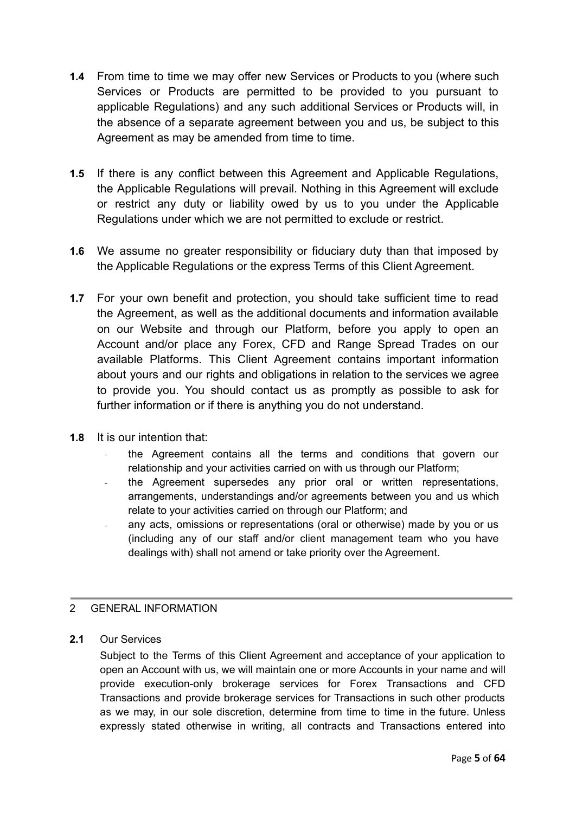- **1.4** From time to time we may offer new Services or Products to you (where such Services or Products are permitted to be provided to you pursuant to applicable Regulations) and any such additional Services or Products will, in the absence of a separate agreement between you and us, be subject to this Agreement as may be amended from time to time.
- **1.5** If there is any conflict between this Agreement and Applicable Regulations, the Applicable Regulations will prevail. Nothing in this Agreement will exclude or restrict any duty or liability owed by us to you under the Applicable Regulations under which we are not permitted to exclude or restrict.
- **1.6** We assume no greater responsibility or fiduciary duty than that imposed by the Applicable Regulations or the express Terms of this Client Agreement.
- **1.7** For your own benefit and protection, you should take sufficient time to read the Agreement, as well as the additional documents and information available on our Website and through our Platform, before you apply to open an Account and/or place any Forex, CFD and Range Spread Trades on our available Platforms. This Client Agreement contains important information about yours and our rights and obligations in relation to the services we agree to provide you. You should contact us as promptly as possible to ask for further information or if there is anything you do not understand.
- **1.8** It is our intention that:
	- the Agreement contains all the terms and conditions that govern our relationship and your activities carried on with us through our Platform;
	- the Agreement supersedes any prior oral or written representations, arrangements, understandings and/or agreements between you and us which relate to your activities carried on through our Platform; and
	- any acts, omissions or representations (oral or otherwise) made by you or us (including any of our staff and/or client management team who you have dealings with) shall not amend or take priority over the Agreement.

# <span id="page-4-0"></span>2 GENERAL INFORMATION

# **2.1** Our Services

Subject to the Terms of this Client Agreement and acceptance of your application to open an Account with us, we will maintain one or more Accounts in your name and will provide execution-only brokerage services for Forex Transactions and CFD Transactions and provide brokerage services for Transactions in such other products as we may, in our sole discretion, determine from time to time in the future. Unless expressly stated otherwise in writing, all contracts and Transactions entered into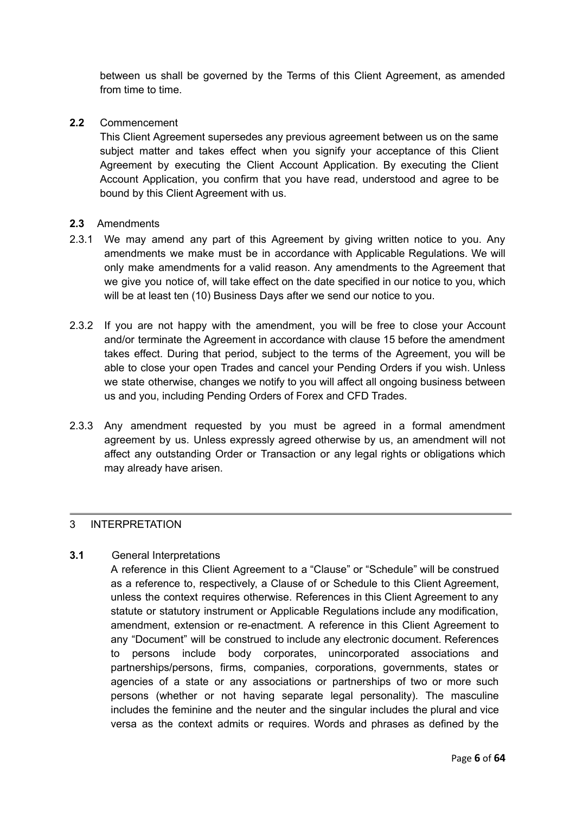between us shall be governed by the Terms of this Client Agreement, as amended from time to time.

**2.2** Commencement

This Client Agreement supersedes any previous agreement between us on the same subject matter and takes effect when you signify your acceptance of this Client Agreement by executing the Client Account Application. By executing the Client Account Application, you confirm that you have read, understood and agree to be bound by this Client Agreement with us.

#### **2.3** Amendments

- 2.3.1 We may amend any part of this Agreement by giving written notice to you. Any amendments we make must be in accordance with Applicable Regulations. We will only make amendments for a valid reason. Any amendments to the Agreement that we give you notice of, will take effect on the date specified in our notice to you, which will be at least ten (10) Business Days after we send our notice to you.
- 2.3.2 If you are not happy with the amendment, you will be free to close your Account and/or terminate the Agreement in accordance with clause 15 before the amendment takes effect. During that period, subject to the terms of the Agreement, you will be able to close your open Trades and cancel your Pending Orders if you wish. Unless we state otherwise, changes we notify to you will affect all ongoing business between us and you, including Pending Orders of Forex and CFD Trades.
- 2.3.3 Any amendment requested by you must be agreed in a formal amendment agreement by us. Unless expressly agreed otherwise by us, an amendment will not affect any outstanding Order or Transaction or any legal rights or obligations which may already have arisen.

#### <span id="page-5-0"></span>3 INTERPRETATION

## **3.1** General Interpretations

A reference in this Client Agreement to a "Clause" or "Schedule" will be construed as a reference to, respectively, a Clause of or Schedule to this Client Agreement, unless the context requires otherwise. References in this Client Agreement to any statute or statutory instrument or Applicable Regulations include any modification, amendment, extension or re-enactment. A reference in this Client Agreement to any "Document" will be construed to include any electronic document. References to persons include body corporates, unincorporated associations and partnerships/persons, firms, companies, corporations, governments, states or agencies of a state or any associations or partnerships of two or more such persons (whether or not having separate legal personality). The masculine includes the feminine and the neuter and the singular includes the plural and vice versa as the context admits or requires. Words and phrases as defined by the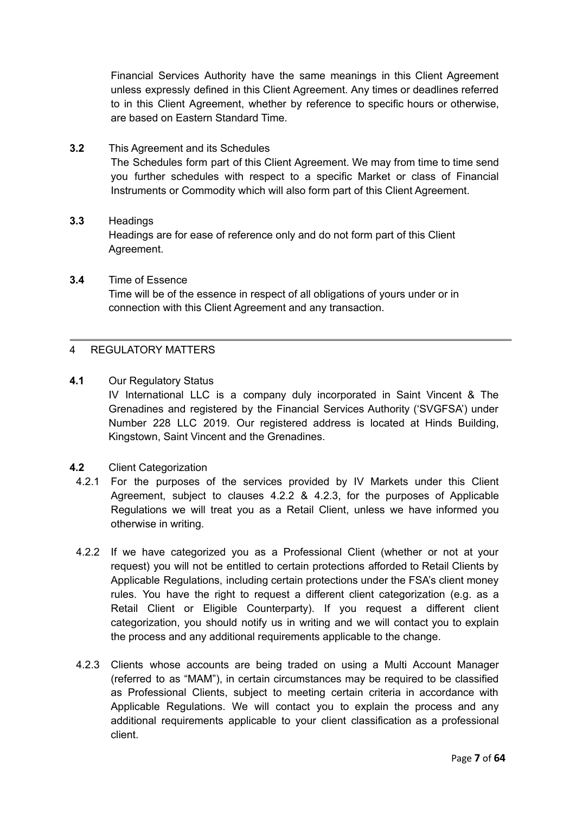Financial Services Authority have the same meanings in this Client Agreement unless expressly defined in this Client Agreement. Any times or deadlines referred to in this Client Agreement, whether by reference to specific hours or otherwise, are based on Eastern Standard Time.

- **3.2** This Agreement and its Schedules The Schedules form part of this Client Agreement. We may from time to time send you further schedules with respect to a specific Market or class of Financial Instruments or Commodity which will also form part of this Client Agreement.
- **3.3** Headings Headings are for ease of reference only and do not form part of this Client Agreement.
- **3.4** Time of Essence Time will be of the essence in respect of all obligations of yours under or in connection with this Client Agreement and any transaction.

#### <span id="page-6-0"></span>4 REGULATORY MATTERS

**4.1** Our Regulatory Status

IV International LLC is a company duly incorporated in Saint Vincent & The Grenadines and registered by the Financial Services Authority ('SVGFSA') under Number 228 LLC 2019. Our registered address is located at Hinds Building, Kingstown, Saint Vincent and the Grenadines.

**4.2** Client Categorization

- 4.2.1 For the purposes of the services provided by IV Markets under this Client Agreement, subject to clauses 4.2.2 & 4.2.3, for the purposes of Applicable Regulations we will treat you as a Retail Client, unless we have informed you otherwise in writing.
- 4.2.2 If we have categorized you as a Professional Client (whether or not at your request) you will not be entitled to certain protections afforded to Retail Clients by Applicable Regulations, including certain protections under the FSA's client money rules. You have the right to request a different client categorization (e.g. as a Retail Client or Eligible Counterparty). If you request a different client categorization, you should notify us in writing and we will contact you to explain the process and any additional requirements applicable to the change.
- 4.2.3 Clients whose accounts are being traded on using a Multi Account Manager (referred to as "MAM"), in certain circumstances may be required to be classified as Professional Clients, subject to meeting certain criteria in accordance with Applicable Regulations. We will contact you to explain the process and any additional requirements applicable to your client classification as a professional client.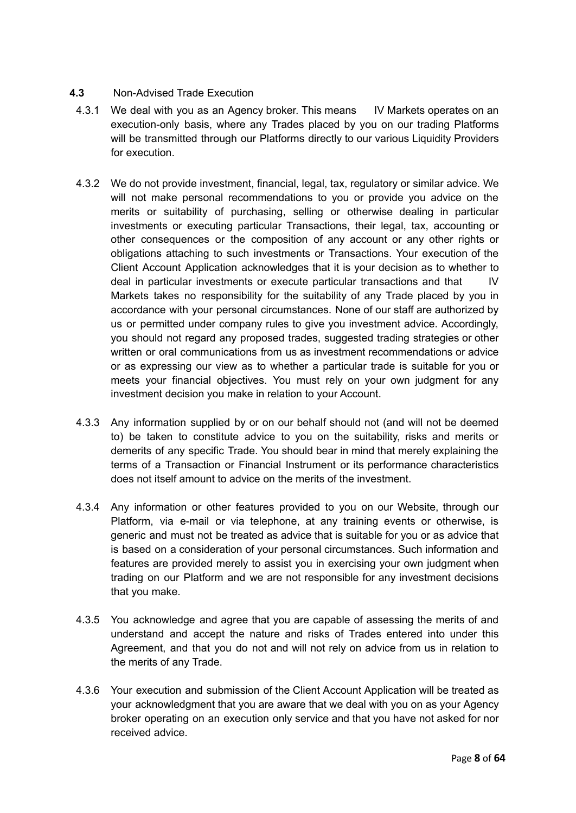#### **4.3** Non-Advised Trade Execution

- 4.3.1 We deal with you as an Agency broker. This means IV Markets operates on an execution-only basis, where any Trades placed by you on our trading Platforms will be transmitted through our Platforms directly to our various Liquidity Providers for execution.
- 4.3.2 We do not provide investment, financial, legal, tax, regulatory or similar advice. We will not make personal recommendations to you or provide you advice on the merits or suitability of purchasing, selling or otherwise dealing in particular investments or executing particular Transactions, their legal, tax, accounting or other consequences or the composition of any account or any other rights or obligations attaching to such investments or Transactions. Your execution of the Client Account Application acknowledges that it is your decision as to whether to deal in particular investments or execute particular transactions and that IV Markets takes no responsibility for the suitability of any Trade placed by you in accordance with your personal circumstances. None of our staff are authorized by us or permitted under company rules to give you investment advice. Accordingly, you should not regard any proposed trades, suggested trading strategies or other written or oral communications from us as investment recommendations or advice or as expressing our view as to whether a particular trade is suitable for you or meets your financial objectives. You must rely on your own judgment for any investment decision you make in relation to your Account.
- 4.3.3 Any information supplied by or on our behalf should not (and will not be deemed to) be taken to constitute advice to you on the suitability, risks and merits or demerits of any specific Trade. You should bear in mind that merely explaining the terms of a Transaction or Financial Instrument or its performance characteristics does not itself amount to advice on the merits of the investment.
- 4.3.4 Any information or other features provided to you on our Website, through our Platform, via e-mail or via telephone, at any training events or otherwise, is generic and must not be treated as advice that is suitable for you or as advice that is based on a consideration of your personal circumstances. Such information and features are provided merely to assist you in exercising your own judgment when trading on our Platform and we are not responsible for any investment decisions that you make.
- 4.3.5 You acknowledge and agree that you are capable of assessing the merits of and understand and accept the nature and risks of Trades entered into under this Agreement, and that you do not and will not rely on advice from us in relation to the merits of any Trade.
- 4.3.6 Your execution and submission of the Client Account Application will be treated as your acknowledgment that you are aware that we deal with you on as your Agency broker operating on an execution only service and that you have not asked for nor received advice.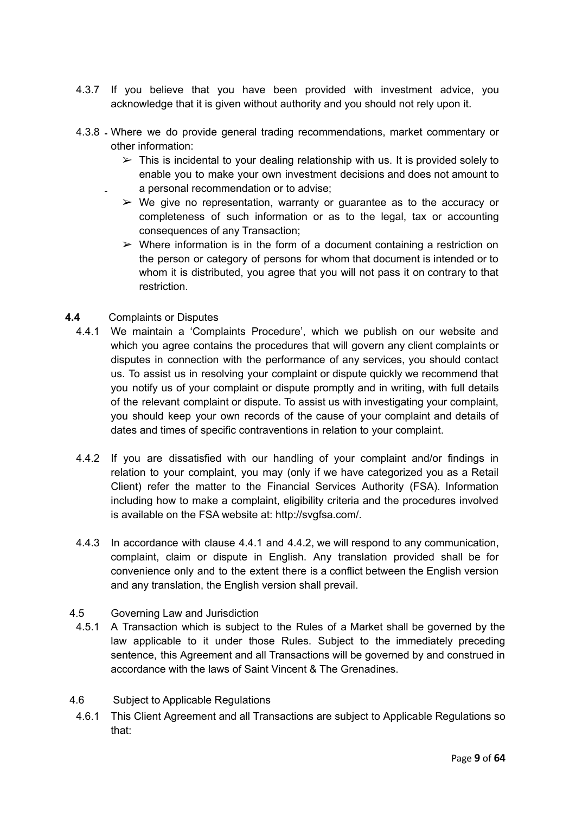- 4.3.7 If you believe that you have been provided with investment advice, you acknowledge that it is given without authority and you should not rely upon it.
- 4.3.8 Where we do provide general trading recommendations, market commentary or other information:
	- $\triangleright$  This is incidental to your dealing relationship with us. It is provided solely to enable you to make your own investment decisions and does not amount to a personal recommendation or to advise;
	- $\triangleright$  We give no representation, warranty or guarantee as to the accuracy or completeness of such information or as to the legal, tax or accounting consequences of any Transaction;
	- $\triangleright$  Where information is in the form of a document containing a restriction on the person or category of persons for whom that document is intended or to whom it is distributed, you agree that you will not pass it on contrary to that restriction.
- **4.4** Complaints or Disputes
	- 4.4.1 We maintain a 'Complaints Procedure', which we publish on our website and which you agree contains the procedures that will govern any client complaints or disputes in connection with the performance of any services, you should contact us. To assist us in resolving your complaint or dispute quickly we recommend that you notify us of your complaint or dispute promptly and in writing, with full details of the relevant complaint or dispute. To assist us with investigating your complaint, you should keep your own records of the cause of your complaint and details of dates and times of specific contraventions in relation to your complaint.
	- 4.4.2 If you are dissatisfied with our handling of your complaint and/or findings in relation to your complaint, you may (only if we have categorized you as a Retail Client) refer the matter to the Financial Services Authority (FSA). Information including how to make a complaint, eligibility criteria and the procedures involved is available on the FSA website at: http://svgfsa.com/.
	- 4.4.3 In accordance with clause 4.4.1 and 4.4.2, we will respond to any communication, complaint, claim or dispute in English. Any translation provided shall be for convenience only and to the extent there is a conflict between the English version and any translation, the English version shall prevail.
- 4.5 Governing Law and Jurisdiction
- 4.5.1 A Transaction which is subject to the Rules of a Market shall be governed by the law applicable to it under those Rules. Subject to the immediately preceding sentence, this Agreement and all Transactions will be governed by and construed in accordance with the laws of Saint Vincent & The Grenadines.
- 4.6 Subject to Applicable Regulations
	- 4.6.1 This Client Agreement and all Transactions are subject to Applicable Regulations so that: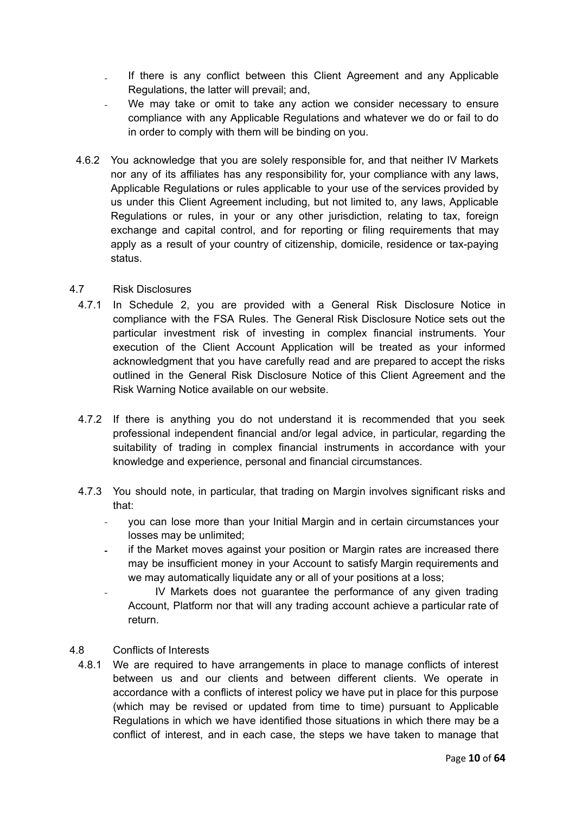- If there is any conflict between this Client Agreement and any Applicable  $\mathbb{R}^{\mathbb{Z}}$ Regulations, the latter will prevail; and,
- We may take or omit to take any action we consider necessary to ensure compliance with any Applicable Regulations and whatever we do or fail to do in order to comply with them will be binding on you.
- 4.6.2 You acknowledge that you are solely responsible for, and that neither IV Markets nor any of its affiliates has any responsibility for, your compliance with any laws, Applicable Regulations or rules applicable to your use of the services provided by us under this Client Agreement including, but not limited to, any laws, Applicable Regulations or rules, in your or any other jurisdiction, relating to tax, foreign exchange and capital control, and for reporting or filing requirements that may apply as a result of your country of citizenship, domicile, residence or tax-paying status.

#### 4.7 Risk Disclosures

- 4.7.1 In Schedule 2, you are provided with a General Risk Disclosure Notice in compliance with the FSA Rules. The General Risk Disclosure Notice sets out the particular investment risk of investing in complex financial instruments. Your execution of the Client Account Application will be treated as your informed acknowledgment that you have carefully read and are prepared to accept the risks outlined in the General Risk Disclosure Notice of this Client Agreement and the Risk Warning Notice available on our website.
- 4.7.2 If there is anything you do not understand it is recommended that you seek professional independent financial and/or legal advice, in particular, regarding the suitability of trading in complex financial instruments in accordance with your knowledge and experience, personal and financial circumstances.
- 4.7.3 You should note, in particular, that trading on Margin involves significant risks and that:
	- you can lose more than your Initial Margin and in certain circumstances your  $\mathbf{r}$ losses may be unlimited;
	- if the Market moves against your position or Margin rates are increased there may be insufficient money in your Account to satisfy Margin requirements and we may automatically liquidate any or all of your positions at a loss;
	- IV Markets does not guarantee the performance of any given trading Account, Platform nor that will any trading account achieve a particular rate of return.

#### 4.8 Conflicts of Interests

4.8.1 We are required to have arrangements in place to manage conflicts of interest between us and our clients and between different clients. We operate in accordance with a conflicts of interest policy we have put in place for this purpose (which may be revised or updated from time to time) pursuant to Applicable Regulations in which we have identified those situations in which there may be a conflict of interest, and in each case, the steps we have taken to manage that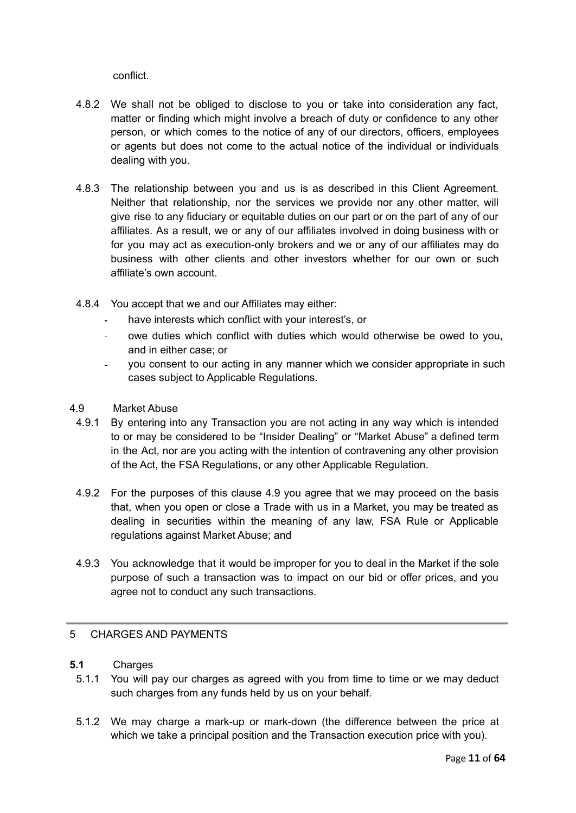conflict.

- 4.8.2 We shall not be obliged to disclose to you or take into consideration any fact, matter or finding which might involve a breach of duty or confidence to any other person, or which comes to the notice of any of our directors, officers, employees or agents but does not come to the actual notice of the individual or individuals dealing with you.
- 4.8.3 The relationship between you and us is as described in this Client Agreement. Neither that relationship, nor the services we provide nor any other matter, will give rise to any fiduciary or equitable duties on our part or on the part of any of our affiliates. As a result, we or any of our affiliates involved in doing business with or for you may act as execution-only brokers and we or any of our affiliates may do business with other clients and other investors whether for our own or such affiliate's own account.
- 4.8.4 You accept that we and our Affiliates may either:
	- have interests which conflict with your interest's, or
	- owe duties which conflict with duties which would otherwise be owed to you, and in either case; or
	- you consent to our acting in any manner which we consider appropriate in such cases subject to Applicable Regulations.
- 4.9 Market Abuse
- 4.9.1 By entering into any Transaction you are not acting in any way which is intended to or may be considered to be "Insider Dealing" or "Market Abuse" a defined term in the Act, nor are you acting with the intention of contravening any other provision of the Act, the FSA Regulations, or any other Applicable Regulation.
- 4.9.2 For the purposes of this clause 4.9 you agree that we may proceed on the basis that, when you open or close a Trade with us in a Market, you may be treated as dealing in securities within the meaning of any law, FSA Rule or Applicable regulations against Market Abuse; and
- 4.9.3 You acknowledge that it would be improper for you to deal in the Market if the sole purpose of such a transaction was to impact on our bid or offer prices, and you agree not to conduct any such transactions.

#### <span id="page-10-0"></span>5 CHARGES AND PAYMENTS

- **5.1** Charges
	- 5.1.1 You will pay our charges as agreed with you from time to time or we may deduct such charges from any funds held by us on your behalf.
	- 5.1.2 We may charge a mark-up or mark-down (the difference between the price at which we take a principal position and the Transaction execution price with you).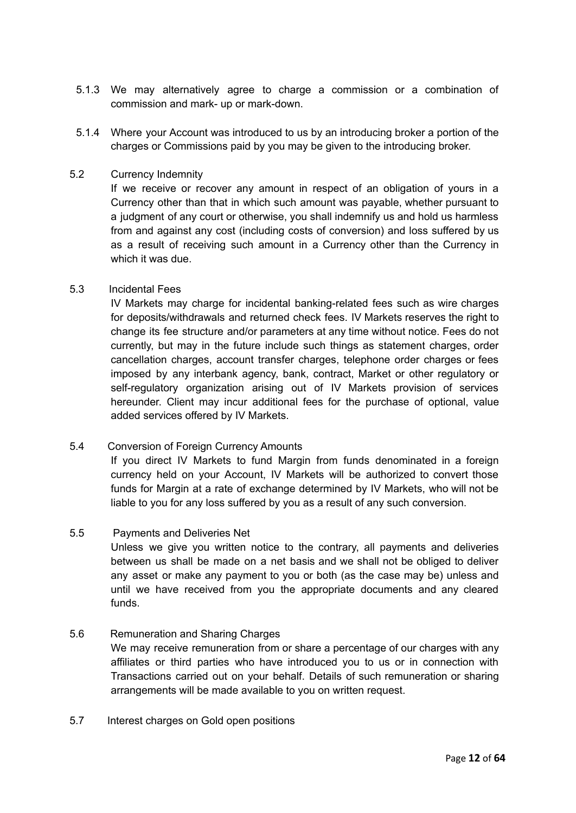- 5.1.3 We may alternatively agree to charge a commission or a combination of commission and mark- up or mark-down.
- 5.1.4 Where your Account was introduced to us by an introducing broker a portion of the charges or Commissions paid by you may be given to the introducing broker.

#### 5.2 Currency Indemnity

If we receive or recover any amount in respect of an obligation of yours in a Currency other than that in which such amount was payable, whether pursuant to a judgment of any court or otherwise, you shall indemnify us and hold us harmless from and against any cost (including costs of conversion) and loss suffered by us as a result of receiving such amount in a Currency other than the Currency in which it was due.

#### 5.3 Incidental Fees

IV Markets may charge for incidental banking-related fees such as wire charges for deposits/withdrawals and returned check fees. IV Markets reserves the right to change its fee structure and/or parameters at any time without notice. Fees do not currently, but may in the future include such things as statement charges, order cancellation charges, account transfer charges, telephone order charges or fees imposed by any interbank agency, bank, contract, Market or other regulatory or self-regulatory organization arising out of IV Markets provision of services hereunder. Client may incur additional fees for the purchase of optional, value added services offered by IV Markets.

# 5.4 Conversion of Foreign Currency Amounts

If you direct IV Markets to fund Margin from funds denominated in a foreign currency held on your Account, IV Markets will be authorized to convert those funds for Margin at a rate of exchange determined by IV Markets, who will not be liable to you for any loss suffered by you as a result of any such conversion.

#### 5.5 Payments and Deliveries Net

Unless we give you written notice to the contrary, all payments and deliveries between us shall be made on a net basis and we shall not be obliged to deliver any asset or make any payment to you or both (as the case may be) unless and until we have received from you the appropriate documents and any cleared funds.

#### 5.6 Remuneration and Sharing Charges

We may receive remuneration from or share a percentage of our charges with any affiliates or third parties who have introduced you to us or in connection with Transactions carried out on your behalf. Details of such remuneration or sharing arrangements will be made available to you on written request.

5.7 Interest charges on Gold open positions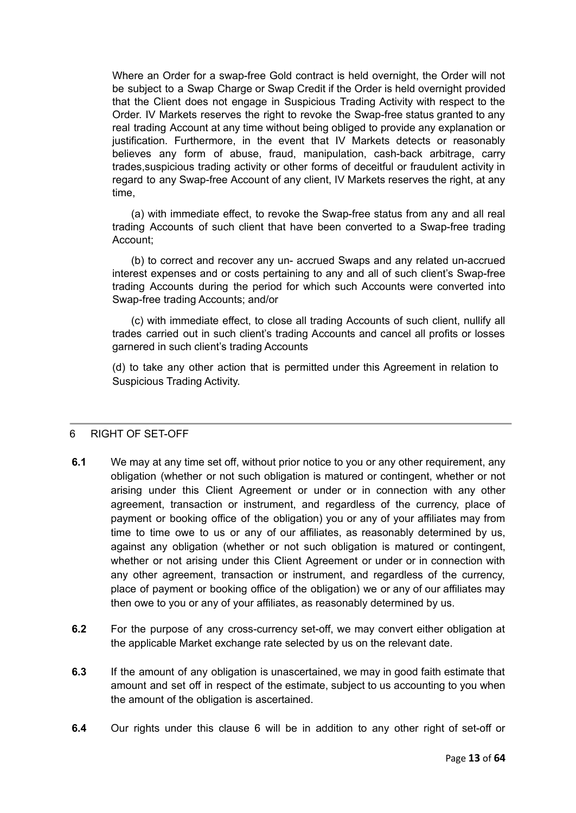Where an Order for a swap-free Gold contract is held overnight, the Order will not be subject to a Swap Charge or Swap Credit if the Order is held overnight provided that the Client does not engage in Suspicious Trading Activity with respect to the Order. IV Markets reserves the right to revoke the Swap-free status granted to any real trading Account at any time without being obliged to provide any explanation or justification. Furthermore, in the event that IV Markets detects or reasonably believes any form of abuse, fraud, manipulation, cash-back arbitrage, carry trades,suspicious trading activity or other forms of deceitful or fraudulent activity in regard to any Swap-free Account of any client, IV Markets reserves the right, at any time,

(a) with immediate effect, to revoke the Swap-free status from any and all real trading Accounts of such client that have been converted to a Swap-free trading Account;

(b) to correct and recover any un- accrued Swaps and any related un-accrued interest expenses and or costs pertaining to any and all of such client's Swap-free trading Accounts during the period for which such Accounts were converted into Swap-free trading Accounts; and/or

(c) with immediate effect, to close all trading Accounts of such client, nullify all trades carried out in such client's trading Accounts and cancel all profits or losses garnered in such client's trading Accounts

(d) to take any other action that is permitted under this Agreement in relation to Suspicious Trading Activity.

#### <span id="page-12-0"></span>6 RIGHT OF SET-OFF

- **6.1** We may at any time set off, without prior notice to you or any other requirement, any obligation (whether or not such obligation is matured or contingent, whether or not arising under this Client Agreement or under or in connection with any other agreement, transaction or instrument, and regardless of the currency, place of payment or booking office of the obligation) you or any of your affiliates may from time to time owe to us or any of our affiliates, as reasonably determined by us, against any obligation (whether or not such obligation is matured or contingent, whether or not arising under this Client Agreement or under or in connection with any other agreement, transaction or instrument, and regardless of the currency, place of payment or booking office of the obligation) we or any of our affiliates may then owe to you or any of your affiliates, as reasonably determined by us.
- **6.2** For the purpose of any cross-currency set-off, we may convert either obligation at the applicable Market exchange rate selected by us on the relevant date.
- **6.3** If the amount of any obligation is unascertained, we may in good faith estimate that amount and set off in respect of the estimate, subject to us accounting to you when the amount of the obligation is ascertained.
- **6.4** Our rights under this clause 6 will be in addition to any other right of set-off or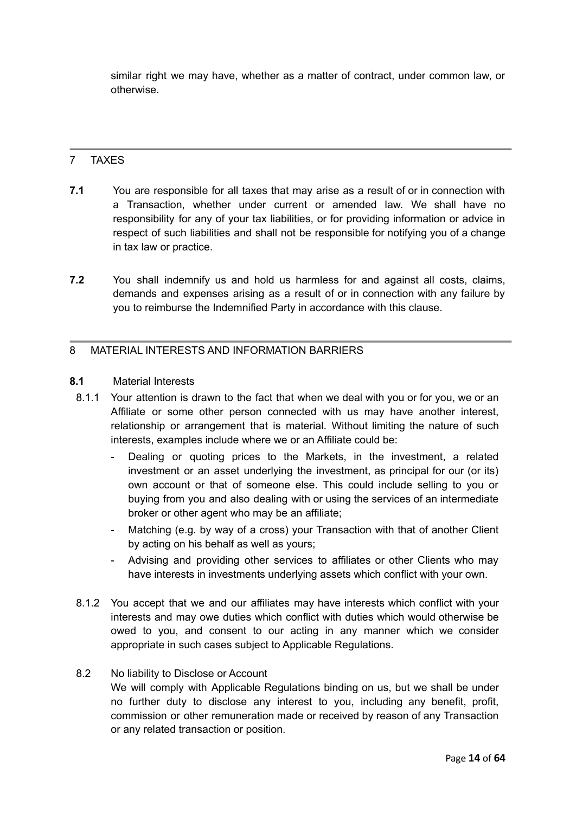similar right we may have, whether as a matter of contract, under common law, or otherwise.

# <span id="page-13-0"></span>7 TAXES

- **7.1** You are responsible for all taxes that may arise as a result of or in connection with a Transaction, whether under current or amended law. We shall have no responsibility for any of your tax liabilities, or for providing information or advice in respect of such liabilities and shall not be responsible for notifying you of a change in tax law or practice.
- **7.2** You shall indemnify us and hold us harmless for and against all costs, claims, demands and expenses arising as a result of or in connection with any failure by you to reimburse the Indemnified Party in accordance with this clause.

#### <span id="page-13-1"></span>8 MATERIAL INTERESTS AND INFORMATION BARRIERS

#### **8.1** Material Interests

- 8.1.1 Your attention is drawn to the fact that when we deal with you or for you, we or an Affiliate or some other person connected with us may have another interest, relationship or arrangement that is material. Without limiting the nature of such interests, examples include where we or an Affiliate could be:
	- Dealing or quoting prices to the Markets, in the investment, a related investment or an asset underlying the investment, as principal for our (or its) own account or that of someone else. This could include selling to you or buying from you and also dealing with or using the services of an intermediate broker or other agent who may be an affiliate;
	- Matching (e.g. by way of a cross) your Transaction with that of another Client by acting on his behalf as well as yours;
	- Advising and providing other services to affiliates or other Clients who may have interests in investments underlying assets which conflict with your own.
- 8.1.2 You accept that we and our affiliates may have interests which conflict with your interests and may owe duties which conflict with duties which would otherwise be owed to you, and consent to our acting in any manner which we consider appropriate in such cases subject to Applicable Regulations.

#### 8.2 No liability to Disclose or Account

We will comply with Applicable Regulations binding on us, but we shall be under no further duty to disclose any interest to you, including any benefit, profit, commission or other remuneration made or received by reason of any Transaction or any related transaction or position.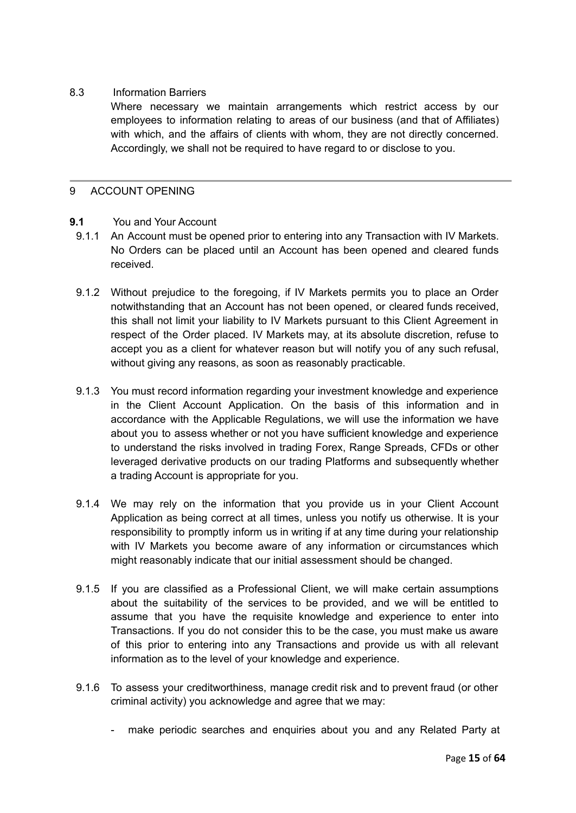#### 8.3 Information Barriers

Where necessary we maintain arrangements which restrict access by our employees to information relating to areas of our business (and that of Affiliates) with which, and the affairs of clients with whom, they are not directly concerned. Accordingly, we shall not be required to have regard to or disclose to you.

#### <span id="page-14-0"></span>9 ACCOUNT OPENING

#### **9.1** You and Your Account

- 9.1.1 An Account must be opened prior to entering into any Transaction with IV Markets. No Orders can be placed until an Account has been opened and cleared funds received.
- 9.1.2 Without prejudice to the foregoing, if IV Markets permits you to place an Order notwithstanding that an Account has not been opened, or cleared funds received, this shall not limit your liability to IV Markets pursuant to this Client Agreement in respect of the Order placed. IV Markets may, at its absolute discretion, refuse to accept you as a client for whatever reason but will notify you of any such refusal, without giving any reasons, as soon as reasonably practicable.
- 9.1.3 You must record information regarding your investment knowledge and experience in the Client Account Application. On the basis of this information and in accordance with the Applicable Regulations, we will use the information we have about you to assess whether or not you have sufficient knowledge and experience to understand the risks involved in trading Forex, Range Spreads, CFDs or other leveraged derivative products on our trading Platforms and subsequently whether a trading Account is appropriate for you.
- 9.1.4 We may rely on the information that you provide us in your Client Account Application as being correct at all times, unless you notify us otherwise. It is your responsibility to promptly inform us in writing if at any time during your relationship with IV Markets you become aware of any information or circumstances which might reasonably indicate that our initial assessment should be changed.
- 9.1.5 If you are classified as a Professional Client, we will make certain assumptions about the suitability of the services to be provided, and we will be entitled to assume that you have the requisite knowledge and experience to enter into Transactions. If you do not consider this to be the case, you must make us aware of this prior to entering into any Transactions and provide us with all relevant information as to the level of your knowledge and experience.
- 9.1.6 To assess your creditworthiness, manage credit risk and to prevent fraud (or other criminal activity) you acknowledge and agree that we may:
	- make periodic searches and enquiries about you and any Related Party at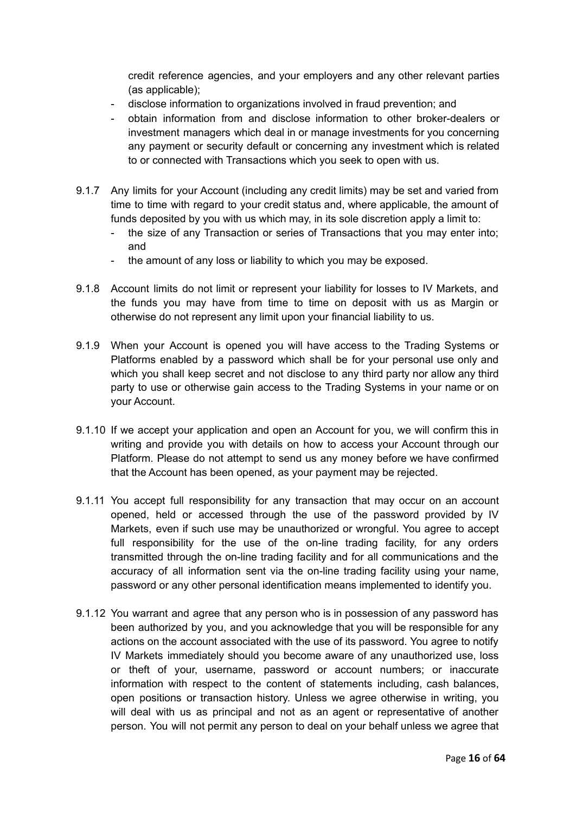credit reference agencies, and your employers and any other relevant parties (as applicable);

- disclose information to organizations involved in fraud prevention; and
- obtain information from and disclose information to other broker-dealers or investment managers which deal in or manage investments for you concerning any payment or security default or concerning any investment which is related to or connected with Transactions which you seek to open with us.
- 9.1.7 Any limits for your Account (including any credit limits) may be set and varied from time to time with regard to your credit status and, where applicable, the amount of funds deposited by you with us which may, in its sole discretion apply a limit to:
	- the size of any Transaction or series of Transactions that you may enter into; and
	- the amount of any loss or liability to which you may be exposed.
- 9.1.8 Account limits do not limit or represent your liability for losses to IV Markets, and the funds you may have from time to time on deposit with us as Margin or otherwise do not represent any limit upon your financial liability to us.
- 9.1.9 When your Account is opened you will have access to the Trading Systems or Platforms enabled by a password which shall be for your personal use only and which you shall keep secret and not disclose to any third party nor allow any third party to use or otherwise gain access to the Trading Systems in your name or on your Account.
- 9.1.10 If we accept your application and open an Account for you, we will confirm this in writing and provide you with details on how to access your Account through our Platform. Please do not attempt to send us any money before we have confirmed that the Account has been opened, as your payment may be rejected.
- 9.1.11 You accept full responsibility for any transaction that may occur on an account opened, held or accessed through the use of the password provided by IV Markets, even if such use may be unauthorized or wrongful. You agree to accept full responsibility for the use of the on-line trading facility, for any orders transmitted through the on-line trading facility and for all communications and the accuracy of all information sent via the on-line trading facility using your name, password or any other personal identification means implemented to identify you.
- 9.1.12 You warrant and agree that any person who is in possession of any password has been authorized by you, and you acknowledge that you will be responsible for any actions on the account associated with the use of its password. You agree to notify IV Markets immediately should you become aware of any unauthorized use, loss or theft of your, username, password or account numbers; or inaccurate information with respect to the content of statements including, cash balances, open positions or transaction history. Unless we agree otherwise in writing, you will deal with us as principal and not as an agent or representative of another person. You will not permit any person to deal on your behalf unless we agree that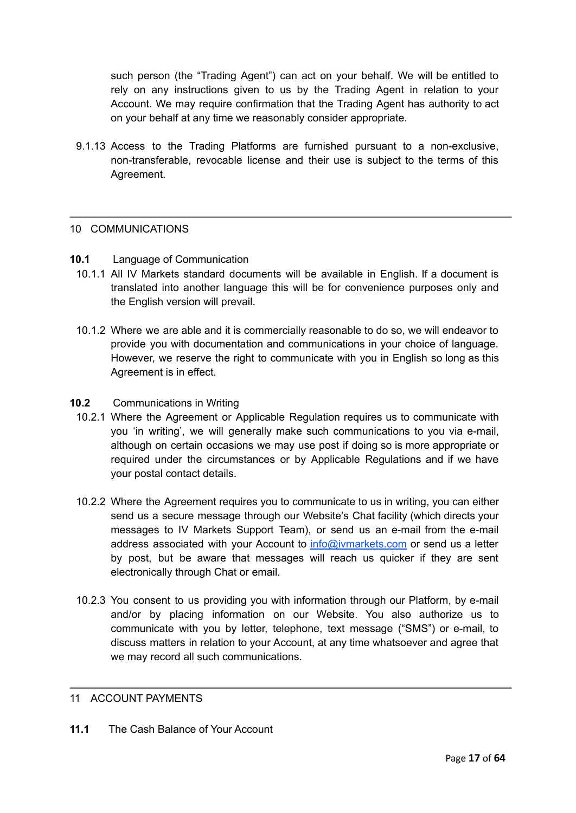such person (the "Trading Agent") can act on your behalf. We will be entitled to rely on any instructions given to us by the Trading Agent in relation to your Account. We may require confirmation that the Trading Agent has authority to act on your behalf at any time we reasonably consider appropriate.

9.1.13 Access to the Trading Platforms are furnished pursuant to a non-exclusive, non-transferable, revocable license and their use is subject to the terms of this Agreement.

#### <span id="page-16-0"></span>10 COMMUNICATIONS

#### **10.1** Language of Communication

- 10.1.1 All IV Markets standard documents will be available in English. If a document is translated into another language this will be for convenience purposes only and the English version will prevail.
- 10.1.2 Where we are able and it is commercially reasonable to do so, we will endeavor to provide you with documentation and communications in your choice of language. However, we reserve the right to communicate with you in English so long as this Agreement is in effect.
- **10.2** Communications in Writing
	- 10.2.1 Where the Agreement or Applicable Regulation requires us to communicate with you 'in writing', we will generally make such communications to you via e-mail, although on certain occasions we may use post if doing so is more appropriate or required under the circumstances or by Applicable Regulations and if we have your postal contact details.
	- 10.2.2 Where the Agreement requires you to communicate to us in writing, you can either send us a secure message through our Website's Chat facility (which directs your messages to IV Markets Support Team), or send us an e-mail from the e-mail address associated with your Account to [info@ivmarkets.com](mailto:support@geminicapital-global.com) or send us a letter by post, but be aware that messages will reach us quicker if they are sent electronically through Chat or email.
	- 10.2.3 You consent to us providing you with information through our Platform, by e-mail and/or by placing information on our Website. You also authorize us to communicate with you by letter, telephone, text message ("SMS") or e-mail, to discuss matters in relation to your Account, at any time whatsoever and agree that we may record all such communications.

## <span id="page-16-1"></span>11 ACCOUNT PAYMENTS

**11.1** The Cash Balance of Your Account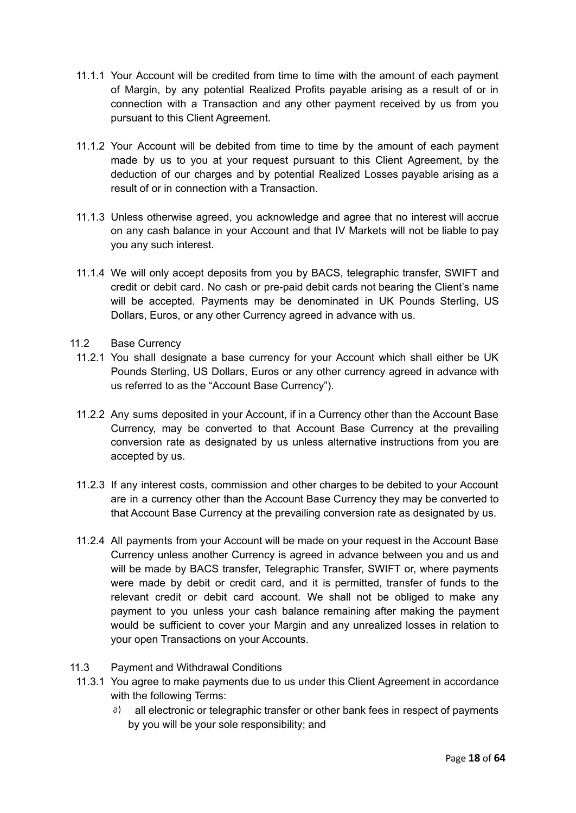- 11.1.1 Your Account will be credited from time to time with the amount of each payment of Margin, by any potential Realized Profits payable arising as a result of or in connection with a Transaction and any other payment received by us from you pursuant to this Client Agreement.
- 11.1.2 Your Account will be debited from time to time by the amount of each payment made by us to you at your request pursuant to this Client Agreement, by the deduction of our charges and by potential Realized Losses payable arising as a result of or in connection with a Transaction.
- 11.1.3 Unless otherwise agreed, you acknowledge and agree that no interest will accrue on any cash balance in your Account and that IV Markets will not be liable to pay you any such interest.
- 11.1.4 We will only accept deposits from you by BACS, telegraphic transfer, SWIFT and credit or debit card. No cash or pre-paid debit cards not bearing the Client's name will be accepted. Payments may be denominated in UK Pounds Sterling, US Dollars, Euros, or any other Currency agreed in advance with us.
- 11.2 Base Currency
	- 11.2.1 You shall designate a base currency for your Account which shall either be UK Pounds Sterling, US Dollars, Euros or any other currency agreed in advance with us referred to as the "Account Base Currency").
	- 11.2.2 Any sums deposited in your Account, if in a Currency other than the Account Base Currency, may be converted to that Account Base Currency at the prevailing conversion rate as designated by us unless alternative instructions from you are accepted by us.
	- 11.2.3 If any interest costs, commission and other charges to be debited to your Account are in a currency other than the Account Base Currency they may be converted to that Account Base Currency at the prevailing conversion rate as designated by us.
	- 11.2.4 All payments from your Account will be made on your request in the Account Base Currency unless another Currency is agreed in advance between you and us and will be made by BACS transfer, Telegraphic Transfer, SWIFT or, where payments were made by debit or credit card, and it is permitted, transfer of funds to the relevant credit or debit card account. We shall not be obliged to make any payment to you unless your cash balance remaining after making the payment would be sufficient to cover your Margin and any unrealized losses in relation to your open Transactions on your Accounts.
- 11.3 Payment and Withdrawal Conditions
	- 11.3.1 You agree to make payments due to us under this Client Agreement in accordance with the following Terms:
		- a) all electronic or telegraphic transfer or other bank fees in respect of payments by you will be your sole responsibility; and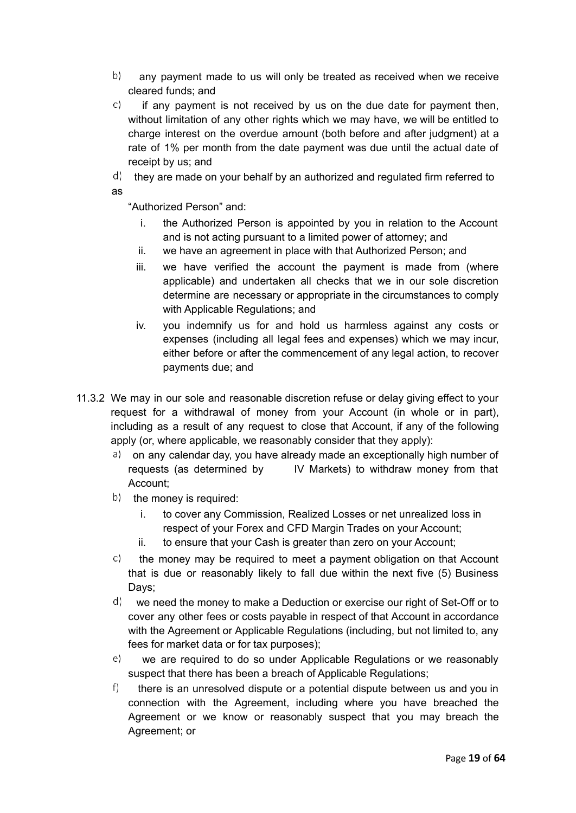- $b)$ any payment made to us will only be treated as received when we receive cleared funds; and
- C) if any payment is not received by us on the due date for payment then, without limitation of any other rights which we may have, we will be entitled to charge interest on the overdue amount (both before and after judgment) at a rate of 1% per month from the date payment was due until the actual date of receipt by us; and
- $\phi$  they are made on your behalf by an authorized and regulated firm referred to as

"Authorized Person" and:

- i. the Authorized Person is appointed by you in relation to the Account and is not acting pursuant to a limited power of attorney; and
- ii. we have an agreement in place with that Authorized Person; and
- iii. we have verified the account the payment is made from (where applicable) and undertaken all checks that we in our sole discretion determine are necessary or appropriate in the circumstances to comply with Applicable Regulations; and
- iv. you indemnify us for and hold us harmless against any costs or expenses (including all legal fees and expenses) which we may incur, either before or after the commencement of any legal action, to recover payments due; and
- 11.3.2 We may in our sole and reasonable discretion refuse or delay giving effect to your request for a withdrawal of money from your Account (in whole or in part), including as a result of any request to close that Account, if any of the following apply (or, where applicable, we reasonably consider that they apply):
	- a) on any calendar day, you have already made an exceptionally high number of requests (as determined by IV Markets) to withdraw money from that Account;
	- $(b)$  the money is required:
		- i. to cover any Commission, Realized Losses or net unrealized loss in respect of your Forex and CFD Margin Trades on your Account;
		- ii. to ensure that your Cash is greater than zero on your Account;
	- $\mathsf{C}$ the money may be required to meet a payment obligation on that Account that is due or reasonably likely to fall due within the next five (5) Business Days:
	- $\phi$  we need the money to make a Deduction or exercise our right of Set-Off or to cover any other fees or costs payable in respect of that Account in accordance with the Agreement or Applicable Regulations (including, but not limited to, any fees for market data or for tax purposes);
	- $e)$ we are required to do so under Applicable Regulations or we reasonably suspect that there has been a breach of Applicable Regulations:
	- $f$ ) there is an unresolved dispute or a potential dispute between us and you in connection with the Agreement, including where you have breached the Agreement or we know or reasonably suspect that you may breach the Agreement; or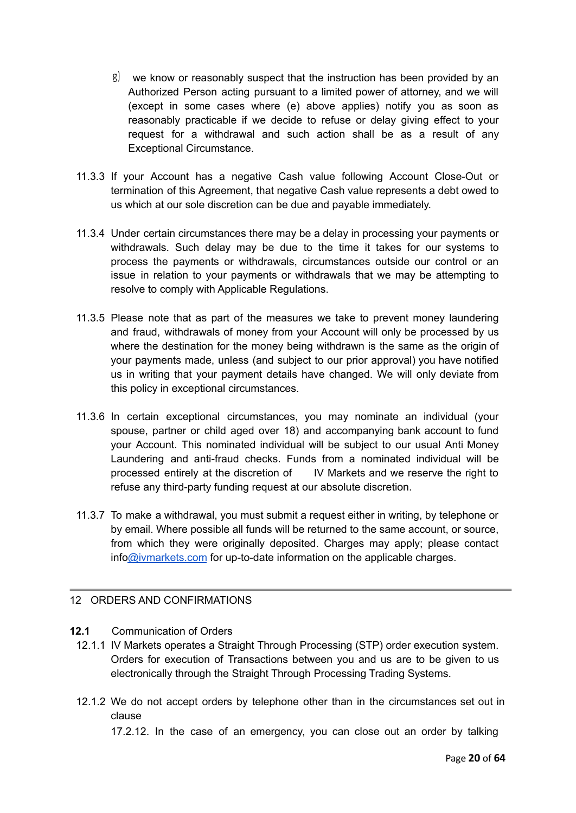- $\beta$  we know or reasonably suspect that the instruction has been provided by an Authorized Person acting pursuant to a limited power of attorney, and we will (except in some cases where (e) above applies) notify you as soon as reasonably practicable if we decide to refuse or delay giving effect to your request for a withdrawal and such action shall be as a result of any Exceptional Circumstance.
- 11.3.3 If your Account has a negative Cash value following Account Close-Out or termination of this Agreement, that negative Cash value represents a debt owed to us which at our sole discretion can be due and payable immediately.
- 11.3.4 Under certain circumstances there may be a delay in processing your payments or withdrawals. Such delay may be due to the time it takes for our systems to process the payments or withdrawals, circumstances outside our control or an issue in relation to your payments or withdrawals that we may be attempting to resolve to comply with Applicable Regulations.
- 11.3.5 Please note that as part of the measures we take to prevent money laundering and fraud, withdrawals of money from your Account will only be processed by us where the destination for the money being withdrawn is the same as the origin of your payments made, unless (and subject to our prior approval) you have notified us in writing that your payment details have changed. We will only deviate from this policy in exceptional circumstances.
- 11.3.6 In certain exceptional circumstances, you may nominate an individual (your spouse, partner or child aged over 18) and accompanying bank account to fund your Account. This nominated individual will be subject to our usual Anti Money Laundering and anti-fraud checks. Funds from a nominated individual will be processed entirely at the discretion of IV Markets and we reserve the right to refuse any third-party funding request at our absolute discretion.
- 11.3.7 To make a withdrawal, you must submit a request either in writing, by telephone or by email. Where possible all funds will be returned to the same account, or source, from which they were originally deposited. Charges may apply; please contact inf[o@ivmarkets.com](mailto:support@geminicapital-global.com) for up-to-date information on the applicable charges.

#### <span id="page-19-0"></span>12 ORDERS AND CONFIRMATIONS

#### **12.1** Communication of Orders

- 12.1.1 IV Markets operates a Straight Through Processing (STP) order execution system. Orders for execution of Transactions between you and us are to be given to us electronically through the Straight Through Processing Trading Systems.
- 12.1.2 We do not accept orders by telephone other than in the circumstances set out in clause

17.2.12. In the case of an emergency, you can close out an order by talking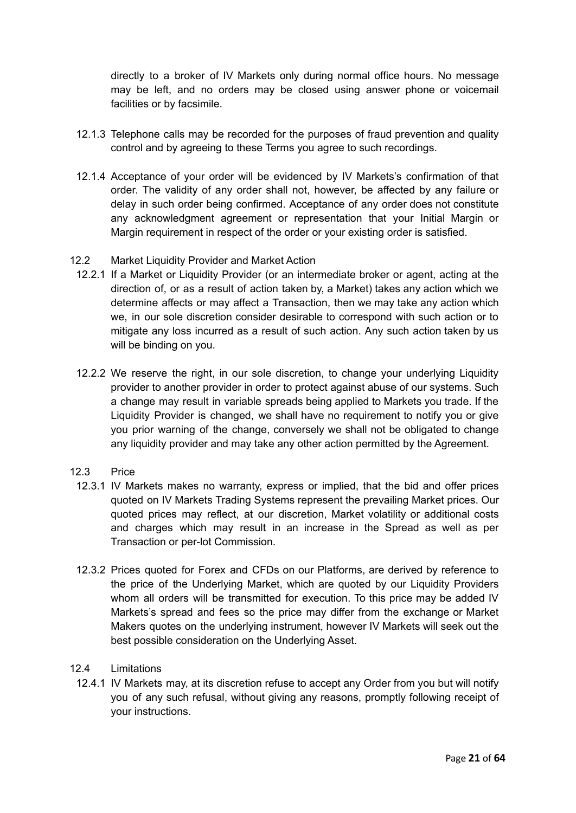directly to a broker of IV Markets only during normal office hours. No message may be left, and no orders may be closed using answer phone or voicemail facilities or by facsimile.

- 12.1.3 Telephone calls may be recorded for the purposes of fraud prevention and quality control and by agreeing to these Terms you agree to such recordings.
- 12.1.4 Acceptance of your order will be evidenced by IV Markets's confirmation of that order. The validity of any order shall not, however, be affected by any failure or delay in such order being confirmed. Acceptance of any order does not constitute any acknowledgment agreement or representation that your Initial Margin or Margin requirement in respect of the order or your existing order is satisfied.
- 12.2 Market Liquidity Provider and Market Action
	- 12.2.1 If a Market or Liquidity Provider (or an intermediate broker or agent, acting at the direction of, or as a result of action taken by, a Market) takes any action which we determine affects or may affect a Transaction, then we may take any action which we, in our sole discretion consider desirable to correspond with such action or to mitigate any loss incurred as a result of such action. Any such action taken by us will be binding on you.
	- 12.2.2 We reserve the right, in our sole discretion, to change your underlying Liquidity provider to another provider in order to protect against abuse of our systems. Such a change may result in variable spreads being applied to Markets you trade. If the Liquidity Provider is changed, we shall have no requirement to notify you or give you prior warning of the change, conversely we shall not be obligated to change any liquidity provider and may take any other action permitted by the Agreement.
- 12.3 Price
	- 12.3.1 IV Markets makes no warranty, express or implied, that the bid and offer prices quoted on IV Markets Trading Systems represent the prevailing Market prices. Our quoted prices may reflect, at our discretion, Market volatility or additional costs and charges which may result in an increase in the Spread as well as per Transaction or per-lot Commission.
	- 12.3.2 Prices quoted for Forex and CFDs on our Platforms, are derived by reference to the price of the Underlying Market, which are quoted by our Liquidity Providers whom all orders will be transmitted for execution. To this price may be added IV Markets's spread and fees so the price may differ from the exchange or Market Makers quotes on the underlying instrument, however IV Markets will seek out the best possible consideration on the Underlying Asset.
- 12.4 Limitations
	- 12.4.1 IV Markets may, at its discretion refuse to accept any Order from you but will notify you of any such refusal, without giving any reasons, promptly following receipt of your instructions.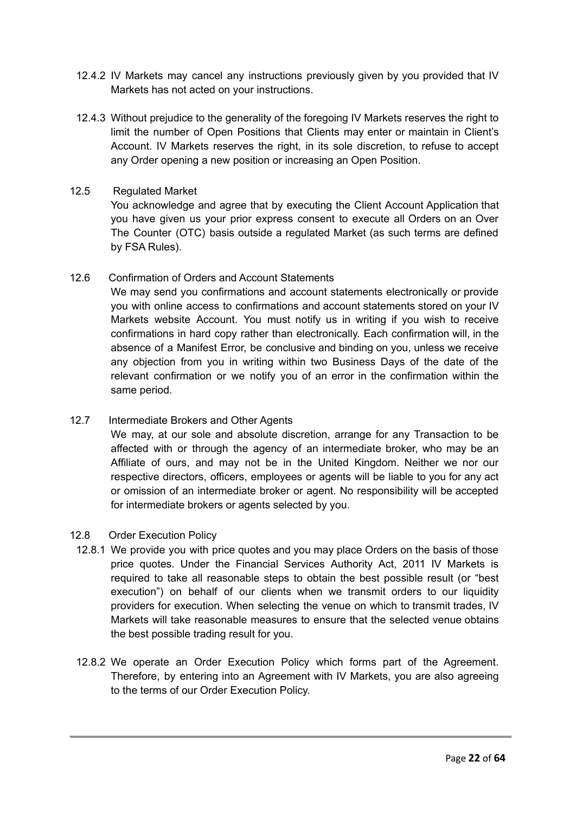- 12.4.2 IV Markets may cancel any instructions previously given by you provided that IV Markets has not acted on your instructions.
- 12.4.3 Without prejudice to the generality of the foregoing IV Markets reserves the right to limit the number of Open Positions that Clients may enter or maintain in Client's Account. IV Markets reserves the right, in its sole discretion, to refuse to accept any Order opening a new position or increasing an Open Position.

#### 12.5 Regulated Market

You acknowledge and agree that by executing the Client Account Application that you have given us your prior express consent to execute all Orders on an Over The Counter (OTC) basis outside a regulated Market (as such terms are defined by FSA Rules).

#### 12.6 Confirmation of Orders and Account Statements

We may send you confirmations and account statements electronically or provide you with online access to confirmations and account statements stored on your IV Markets website Account. You must notify us in writing if you wish to receive confirmations in hard copy rather than electronically. Each confirmation will, in the absence of a Manifest Error, be conclusive and binding on you, unless we receive any objection from you in writing within two Business Days of the date of the relevant confirmation or we notify you of an error in the confirmation within the same period.

# 12.7 Intermediate Brokers and Other Agents

We may, at our sole and absolute discretion, arrange for any Transaction to be affected with or through the agency of an intermediate broker, who may be an Affiliate of ours, and may not be in the United Kingdom. Neither we nor our respective directors, officers, employees or agents will be liable to you for any act or omission of an intermediate broker or agent. No responsibility will be accepted for intermediate brokers or agents selected by you.

- 12.8 Order Execution Policy
	- 12.8.1 We provide you with price quotes and you may place Orders on the basis of those price quotes. Under the Financial Services Authority Act, 2011 IV Markets is required to take all reasonable steps to obtain the best possible result (or "best execution") on behalf of our clients when we transmit orders to our liquidity providers for execution. When selecting the venue on which to transmit trades, IV Markets will take reasonable measures to ensure that the selected venue obtains the best possible trading result for you.
	- 12.8.2 We operate an Order Execution Policy which forms part of the Agreement. Therefore, by entering into an Agreement with IV Markets, you are also agreeing to the terms of our Order Execution Policy.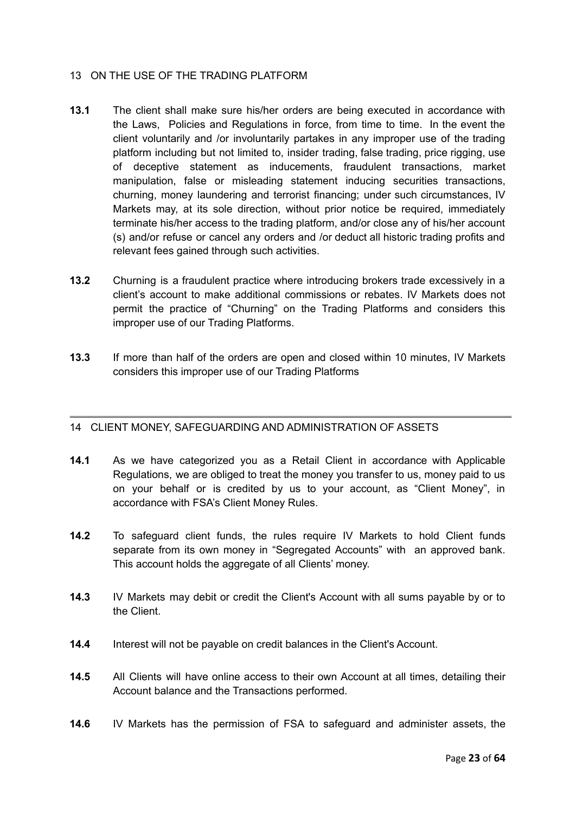#### 13 ON THE USE OF THE TRADING PLATFORM

- **13.1** The client shall make sure his/her orders are being executed in accordance with the Laws, Policies and Regulations in force, from time to time. In the event the client voluntarily and /or involuntarily partakes in any improper use of the trading platform including but not limited to, insider trading, false trading, price rigging, use of deceptive statement as inducements, fraudulent transactions, market manipulation, false or misleading statement inducing securities transactions, churning, money laundering and terrorist financing; under such circumstances, IV Markets may, at its sole direction, without prior notice be required, immediately terminate his/her access to the trading platform, and/or close any of his/her account (s) and/or refuse or cancel any orders and /or deduct all historic trading profits and relevant fees gained through such activities.
- **13.2** Churning is a fraudulent practice where introducing brokers trade excessively in a client's account to make additional commissions or rebates. IV Markets does not permit the practice of "Churning" on the Trading Platforms and considers this improper use of our Trading Platforms.
- **13.3** If more than half of the orders are open and closed within 10 minutes, IV Markets considers this improper use of our Trading Platforms

#### <span id="page-22-0"></span>14 CLIENT MONEY, SAFEGUARDING AND ADMINISTRATION OF ASSETS

- **14.1** As we have categorized you as a Retail Client in accordance with Applicable Regulations, we are obliged to treat the money you transfer to us, money paid to us on your behalf or is credited by us to your account, as "Client Money", in accordance with FSA's Client Money Rules.
- **14.2** To safeguard client funds, the rules require IV Markets to hold Client funds separate from its own money in "Segregated Accounts" with an approved bank. This account holds the aggregate of all Clients' money.
- **14.3** IV Markets may debit or credit the Client's Account with all sums payable by or to the Client.
- **14.4** Interest will not be payable on credit balances in the Client's Account.
- **14.5** All Clients will have online access to their own Account at all times, detailing their Account balance and the Transactions performed.
- **14.6** IV Markets has the permission of FSA to safeguard and administer assets, the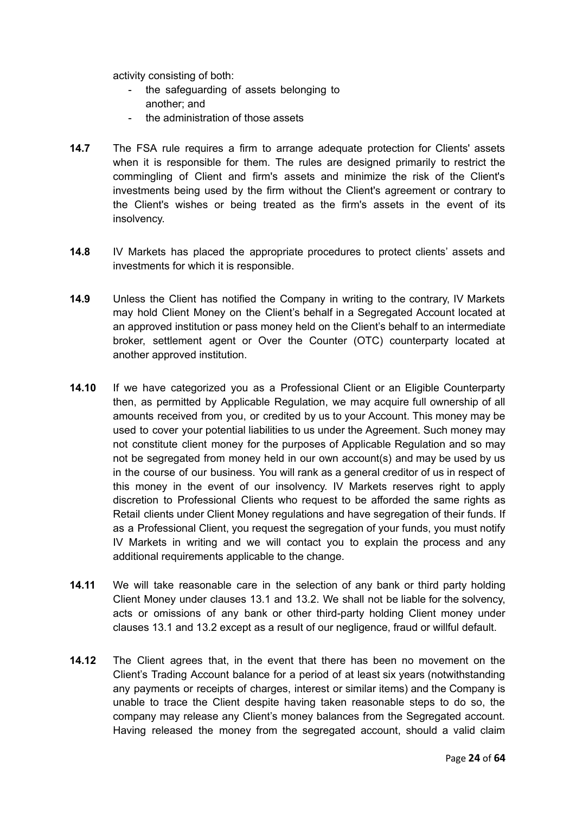activity consisting of both:

- the safeguarding of assets belonging to another; and
- the administration of those assets
- **14.7** The FSA rule requires a firm to arrange adequate protection for Clients' assets when it is responsible for them. The rules are designed primarily to restrict the commingling of Client and firm's assets and minimize the risk of the Client's investments being used by the firm without the Client's agreement or contrary to the Client's wishes or being treated as the firm's assets in the event of its insolvency.
- **14.8** IV Markets has placed the appropriate procedures to protect clients' assets and investments for which it is responsible.
- **14.9** Unless the Client has notified the Company in writing to the contrary, IV Markets may hold Client Money on the Client's behalf in a Segregated Account located at an approved institution or pass money held on the Client's behalf to an intermediate broker, settlement agent or Over the Counter (OTC) counterparty located at another approved institution.
- **14.10** If we have categorized you as a Professional Client or an Eligible Counterparty then, as permitted by Applicable Regulation, we may acquire full ownership of all amounts received from you, or credited by us to your Account. This money may be used to cover your potential liabilities to us under the Agreement. Such money may not constitute client money for the purposes of Applicable Regulation and so may not be segregated from money held in our own account(s) and may be used by us in the course of our business. You will rank as a general creditor of us in respect of this money in the event of our insolvency. IV Markets reserves right to apply discretion to Professional Clients who request to be afforded the same rights as Retail clients under Client Money regulations and have segregation of their funds. If as a Professional Client, you request the segregation of your funds, you must notify IV Markets in writing and we will contact you to explain the process and any additional requirements applicable to the change.
- **14.11** We will take reasonable care in the selection of any bank or third party holding Client Money under clauses 13.1 and 13.2. We shall not be liable for the solvency, acts or omissions of any bank or other third-party holding Client money under clauses 13.1 and 13.2 except as a result of our negligence, fraud or willful default.
- **14.12** The Client agrees that, in the event that there has been no movement on the Client's Trading Account balance for a period of at least six years (notwithstanding any payments or receipts of charges, interest or similar items) and the Company is unable to trace the Client despite having taken reasonable steps to do so, the company may release any Client's money balances from the Segregated account. Having released the money from the segregated account, should a valid claim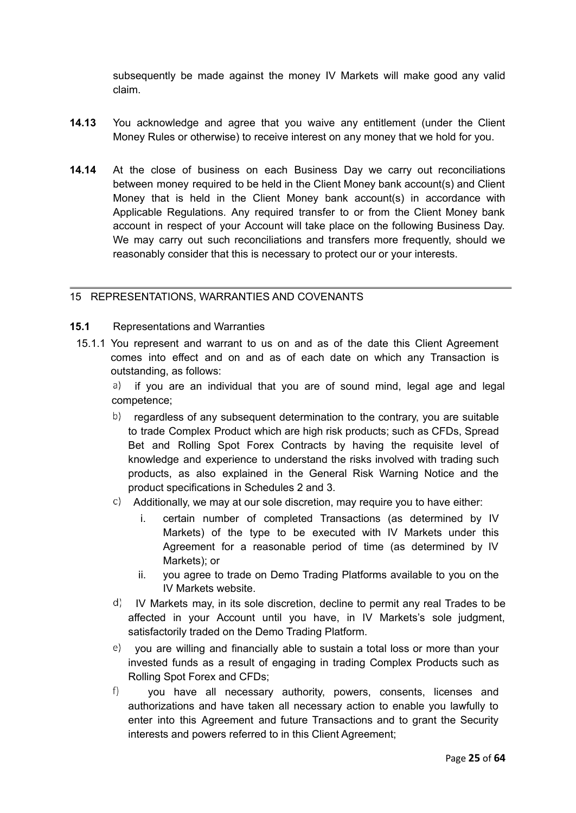subsequently be made against the money IV Markets will make good any valid claim.

- **14.13** You acknowledge and agree that you waive any entitlement (under the Client Money Rules or otherwise) to receive interest on any money that we hold for you.
- **14.14** At the close of business on each Business Day we carry out reconciliations between money required to be held in the Client Money bank account(s) and Client Money that is held in the Client Money bank account(s) in accordance with Applicable Regulations. Any required transfer to or from the Client Money bank account in respect of your Account will take place on the following Business Day. We may carry out such reconciliations and transfers more frequently, should we reasonably consider that this is necessary to protect our or your interests.

#### <span id="page-24-0"></span>15 REPRESENTATIONS, WARRANTIES AND COVENANTS

#### **15.1** Representations and Warranties

15.1.1 You represent and warrant to us on and as of the date this Client Agreement comes into effect and on and as of each date on which any Transaction is outstanding, as follows:

if you are an individual that you are of sound mind, legal age and legal a) competence;

- $\langle b \rangle$  regardless of any subsequent determination to the contrary, you are suitable to trade Complex Product which are high risk products; such as CFDs, Spread Bet and Rolling Spot Forex Contracts by having the requisite level of knowledge and experience to understand the risks involved with trading such products, as also explained in the General Risk Warning Notice and the product specifications in Schedules 2 and 3.
- $\circ$  Additionally, we may at our sole discretion, may require you to have either:
	- i. certain number of completed Transactions (as determined by IV Markets) of the type to be executed with IV Markets under this Agreement for a reasonable period of time (as determined by IV Markets); or
	- ii. you agree to trade on Demo Trading Platforms available to you on the IV Markets website.
- $\vert d \vert$  IV Markets may, in its sole discretion, decline to permit any real Trades to be affected in your Account until you have, in IV Markets's sole judgment, satisfactorily traded on the Demo Trading Platform.
- you are willing and financially able to sustain a total loss or more than your invested funds as a result of engaging in trading Complex Products such as Rolling Spot Forex and CFDs;
- $f$ ) you have all necessary authority, powers, consents, licenses and authorizations and have taken all necessary action to enable you lawfully to enter into this Agreement and future Transactions and to grant the Security interests and powers referred to in this Client Agreement;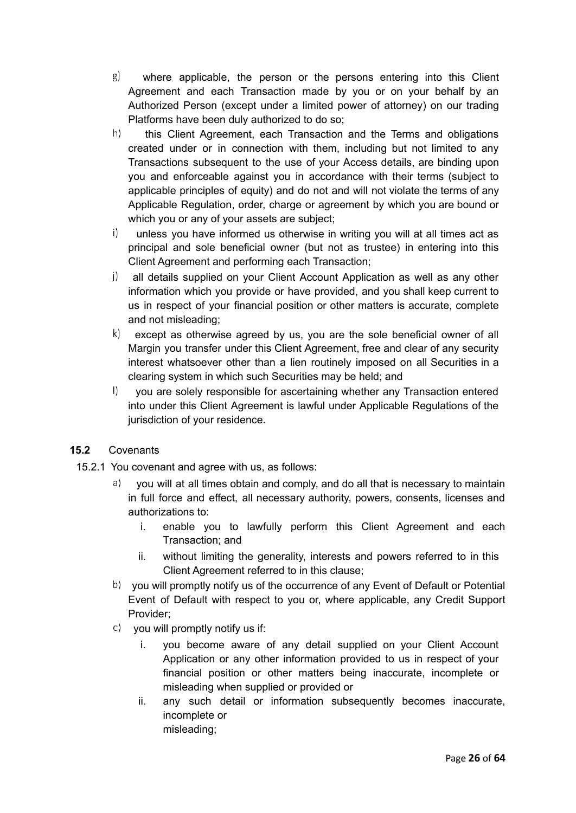- g) where applicable, the person or the persons entering into this Client Agreement and each Transaction made by you or on your behalf by an Authorized Person (except under a limited power of attorney) on our trading Platforms have been duly authorized to do so;
- $h$ this Client Agreement, each Transaction and the Terms and obligations created under or in connection with them, including but not limited to any Transactions subsequent to the use of your Access details, are binding upon you and enforceable against you in accordance with their terms (subject to applicable principles of equity) and do not and will not violate the terms of any Applicable Regulation, order, charge or agreement by which you are bound or which you or any of your assets are subject:
- $\vert \vert$ unless you have informed us otherwise in writing you will at all times act as principal and sole beneficial owner (but not as trustee) in entering into this Client Agreement and performing each Transaction;
- $\mathbf{j}$  all details supplied on your Client Account Application as well as any other information which you provide or have provided, and you shall keep current to us in respect of your financial position or other matters is accurate, complete and not misleading;
- $(k)$  except as otherwise agreed by us, you are the sole beneficial owner of all Margin you transfer under this Client Agreement, free and clear of any security interest whatsoever other than a lien routinely imposed on all Securities in a clearing system in which such Securities may be held; and
- $\vert$ ) you are solely responsible for ascertaining whether any Transaction entered into under this Client Agreement is lawful under Applicable Regulations of the jurisdiction of your residence.

# **15.2** Covenants

- 15.2.1 You covenant and agree with us, as follows:
	- $a)$  you will at all times obtain and comply, and do all that is necessary to maintain in full force and effect, all necessary authority, powers, consents, licenses and authorizations to:
		- i. enable you to lawfully perform this Client Agreement and each Transaction; and
		- ii. without limiting the generality, interests and powers referred to in this Client Agreement referred to in this clause;
	- b) you will promptly notify us of the occurrence of any Event of Default or Potential Event of Default with respect to you or, where applicable, any Credit Support Provider;
	- you will promptly notify us if:
		- i. you become aware of any detail supplied on your Client Account Application or any other information provided to us in respect of your financial position or other matters being inaccurate, incomplete or misleading when supplied or provided or
		- ii. any such detail or information subsequently becomes inaccurate, incomplete or misleading;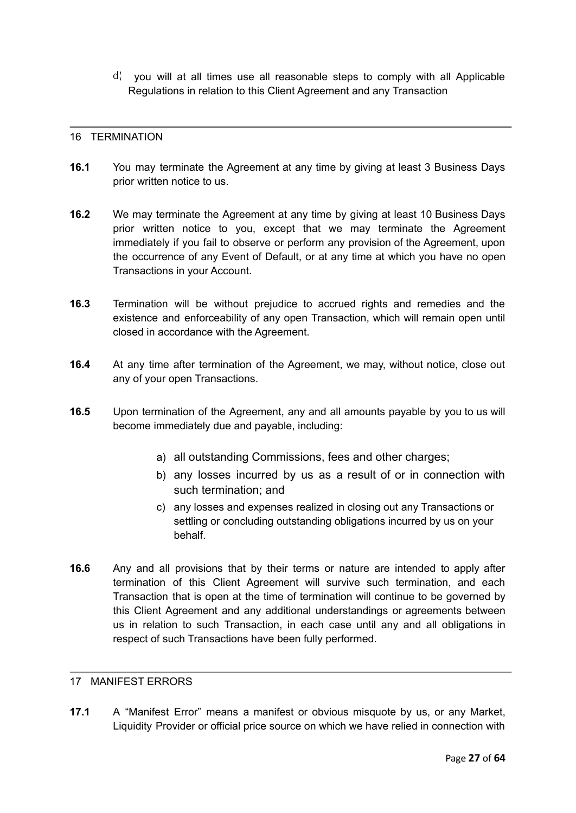$\vert$  d) you will at all times use all reasonable steps to comply with all Applicable Regulations in relation to this Client Agreement and any Transaction

#### <span id="page-26-0"></span>16 TERMINATION

- **16.1** You may terminate the Agreement at any time by giving at least 3 Business Days prior written notice to us.
- **16.2** We may terminate the Agreement at any time by giving at least 10 Business Days prior written notice to you, except that we may terminate the Agreement immediately if you fail to observe or perform any provision of the Agreement, upon the occurrence of any Event of Default, or at any time at which you have no open Transactions in your Account.
- **16.3** Termination will be without prejudice to accrued rights and remedies and the existence and enforceability of any open Transaction, which will remain open until closed in accordance with the Agreement.
- **16.4** At any time after termination of the Agreement, we may, without notice, close out any of your open Transactions.
- **16.5** Upon termination of the Agreement, any and all amounts payable by you to us will become immediately due and payable, including:
	- a) all outstanding Commissions, fees and other charges;
	- b) any losses incurred by us as a result of or in connection with such termination; and
	- c) any losses and expenses realized in closing out any Transactions or settling or concluding outstanding obligations incurred by us on your behalf.
- **16.6** Any and all provisions that by their terms or nature are intended to apply after termination of this Client Agreement will survive such termination, and each Transaction that is open at the time of termination will continue to be governed by this Client Agreement and any additional understandings or agreements between us in relation to such Transaction, in each case until any and all obligations in respect of such Transactions have been fully performed.

## <span id="page-26-1"></span>17 MANIFEST ERRORS

**17.1** A "Manifest Error" means a manifest or obvious misquote by us, or any Market, Liquidity Provider or official price source on which we have relied in connection with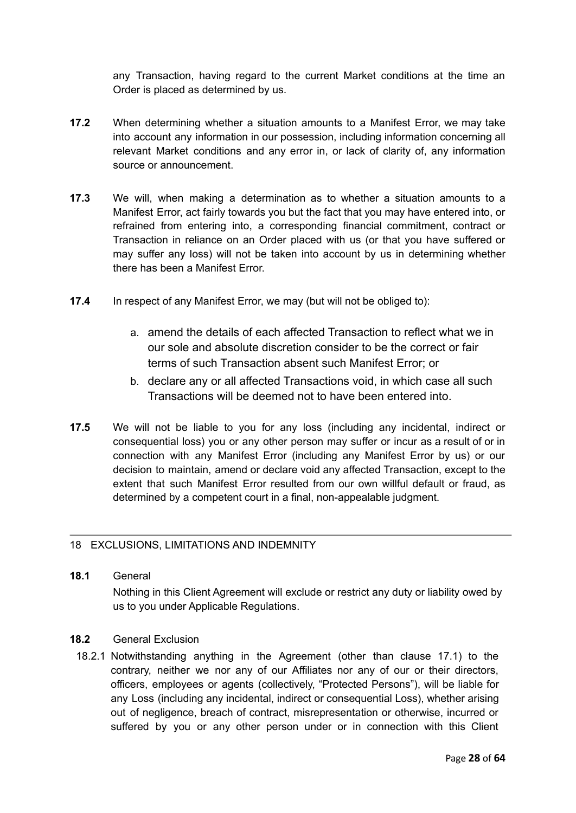any Transaction, having regard to the current Market conditions at the time an Order is placed as determined by us.

- **17.2** When determining whether a situation amounts to a Manifest Error, we may take into account any information in our possession, including information concerning all relevant Market conditions and any error in, or lack of clarity of, any information source or announcement.
- **17.3** We will, when making a determination as to whether a situation amounts to a Manifest Error, act fairly towards you but the fact that you may have entered into, or refrained from entering into, a corresponding financial commitment, contract or Transaction in reliance on an Order placed with us (or that you have suffered or may suffer any loss) will not be taken into account by us in determining whether there has been a Manifest Error.
- **17.4** In respect of any Manifest Error, we may (but will not be obliged to):
	- a. amend the details of each affected Transaction to reflect what we in our sole and absolute discretion consider to be the correct or fair terms of such Transaction absent such Manifest Error; or
	- b. declare any or all affected Transactions void, in which case all such Transactions will be deemed not to have been entered into.
- **17.5** We will not be liable to you for any loss (including any incidental, indirect or consequential loss) you or any other person may suffer or incur as a result of or in connection with any Manifest Error (including any Manifest Error by us) or our decision to maintain, amend or declare void any affected Transaction, except to the extent that such Manifest Error resulted from our own willful default or fraud, as determined by a competent court in a final, non-appealable judgment.

# <span id="page-27-0"></span>18 EXCLUSIONS, LIMITATIONS AND INDEMNITY

# **18.1** General Nothing in this Client Agreement will exclude or restrict any duty or liability owed by us to you under Applicable Regulations.

#### **18.2** General Exclusion

18.2.1 Notwithstanding anything in the Agreement (other than clause 17.1) to the contrary, neither we nor any of our Affiliates nor any of our or their directors, officers, employees or agents (collectively, "Protected Persons"), will be liable for any Loss (including any incidental, indirect or consequential Loss), whether arising out of negligence, breach of contract, misrepresentation or otherwise, incurred or suffered by you or any other person under or in connection with this Client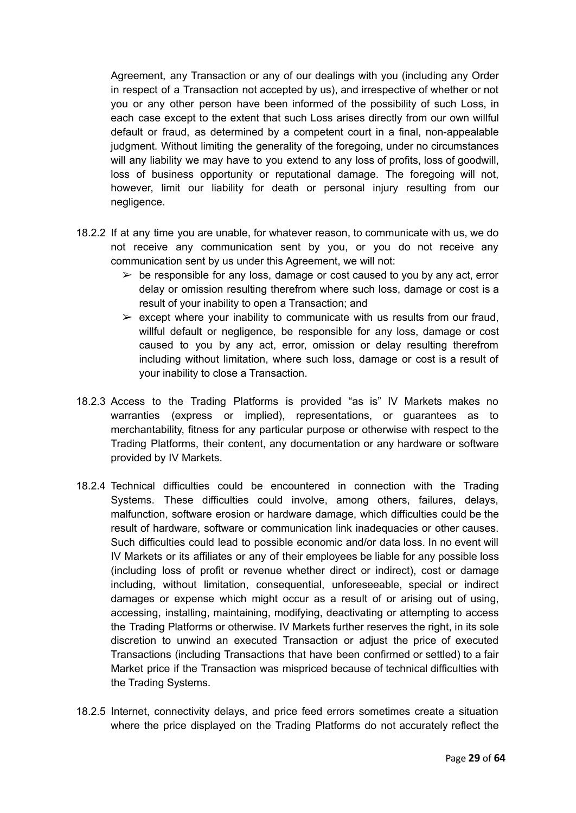Agreement, any Transaction or any of our dealings with you (including any Order in respect of a Transaction not accepted by us), and irrespective of whether or not you or any other person have been informed of the possibility of such Loss, in each case except to the extent that such Loss arises directly from our own willful default or fraud, as determined by a competent court in a final, non-appealable judgment. Without limiting the generality of the foregoing, under no circumstances will any liability we may have to you extend to any loss of profits, loss of goodwill, loss of business opportunity or reputational damage. The foregoing will not, however, limit our liability for death or personal injury resulting from our negligence.

- 18.2.2 If at any time you are unable, for whatever reason, to communicate with us, we do not receive any communication sent by you, or you do not receive any communication sent by us under this Agreement, we will not:
	- $\triangleright$  be responsible for any loss, damage or cost caused to you by any act, error delay or omission resulting therefrom where such loss, damage or cost is a result of your inability to open a Transaction; and
	- $\triangleright$  except where your inability to communicate with us results from our fraud, willful default or negligence, be responsible for any loss, damage or cost caused to you by any act, error, omission or delay resulting therefrom including without limitation, where such loss, damage or cost is a result of your inability to close a Transaction.
- 18.2.3 Access to the Trading Platforms is provided "as is" IV Markets makes no warranties (express or implied), representations, or guarantees as to merchantability, fitness for any particular purpose or otherwise with respect to the Trading Platforms, their content, any documentation or any hardware or software provided by IV Markets.
- 18.2.4 Technical difficulties could be encountered in connection with the Trading Systems. These difficulties could involve, among others, failures, delays, malfunction, software erosion or hardware damage, which difficulties could be the result of hardware, software or communication link inadequacies or other causes. Such difficulties could lead to possible economic and/or data loss. In no event will IV Markets or its affiliates or any of their employees be liable for any possible loss (including loss of profit or revenue whether direct or indirect), cost or damage including, without limitation, consequential, unforeseeable, special or indirect damages or expense which might occur as a result of or arising out of using, accessing, installing, maintaining, modifying, deactivating or attempting to access the Trading Platforms or otherwise. IV Markets further reserves the right, in its sole discretion to unwind an executed Transaction or adjust the price of executed Transactions (including Transactions that have been confirmed or settled) to a fair Market price if the Transaction was mispriced because of technical difficulties with the Trading Systems.
- 18.2.5 Internet, connectivity delays, and price feed errors sometimes create a situation where the price displayed on the Trading Platforms do not accurately reflect the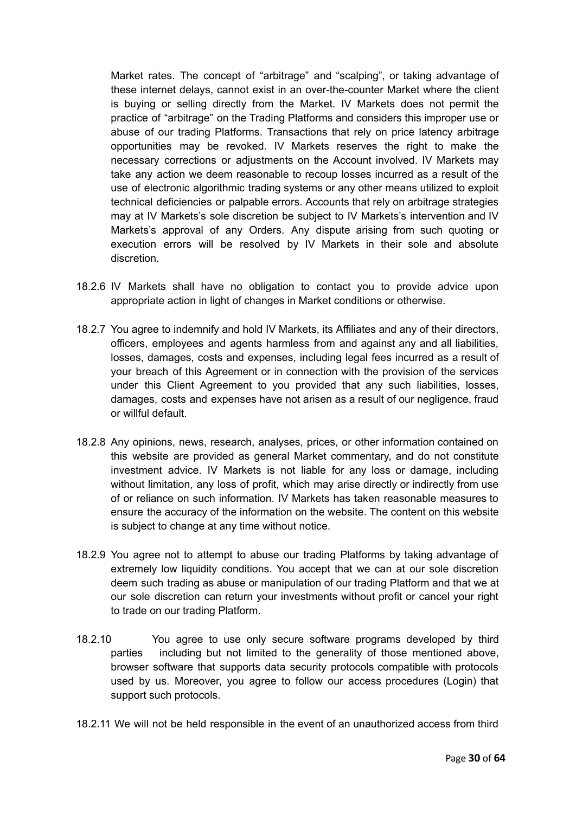Market rates. The concept of "arbitrage" and "scalping", or taking advantage of these internet delays, cannot exist in an over-the-counter Market where the client is buying or selling directly from the Market. IV Markets does not permit the practice of "arbitrage" on the Trading Platforms and considers this improper use or abuse of our trading Platforms. Transactions that rely on price latency arbitrage opportunities may be revoked. IV Markets reserves the right to make the necessary corrections or adjustments on the Account involved. IV Markets may take any action we deem reasonable to recoup losses incurred as a result of the use of electronic algorithmic trading systems or any other means utilized to exploit technical deficiencies or palpable errors. Accounts that rely on arbitrage strategies may at IV Markets's sole discretion be subject to IV Markets's intervention and IV Markets's approval of any Orders. Any dispute arising from such quoting or execution errors will be resolved by IV Markets in their sole and absolute discretion.

- 18.2.6 IV Markets shall have no obligation to contact you to provide advice upon appropriate action in light of changes in Market conditions or otherwise.
- 18.2.7 You agree to indemnify and hold IV Markets, its Affiliates and any of their directors, officers, employees and agents harmless from and against any and all liabilities, losses, damages, costs and expenses, including legal fees incurred as a result of your breach of this Agreement or in connection with the provision of the services under this Client Agreement to you provided that any such liabilities, losses, damages, costs and expenses have not arisen as a result of our negligence, fraud or willful default.
- 18.2.8 Any opinions, news, research, analyses, prices, or other information contained on this website are provided as general Market commentary, and do not constitute investment advice. IV Markets is not liable for any loss or damage, including without limitation, any loss of profit, which may arise directly or indirectly from use of or reliance on such information. IV Markets has taken reasonable measures to ensure the accuracy of the information on the website. The content on this website is subject to change at any time without notice.
- 18.2.9 You agree not to attempt to abuse our trading Platforms by taking advantage of extremely low liquidity conditions. You accept that we can at our sole discretion deem such trading as abuse or manipulation of our trading Platform and that we at our sole discretion can return your investments without profit or cancel your right to trade on our trading Platform.
- 18.2.10 You agree to use only secure software programs developed by third parties including but not limited to the generality of those mentioned above, browser software that supports data security protocols compatible with protocols used by us. Moreover, you agree to follow our access procedures (Login) that support such protocols.
- 18.2.11 We will not be held responsible in the event of an unauthorized access from third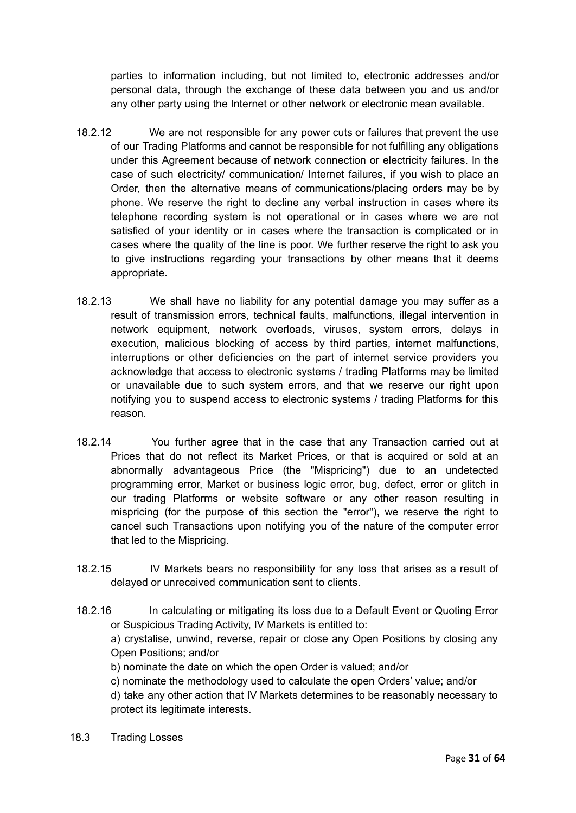parties to information including, but not limited to, electronic addresses and/or personal data, through the exchange of these data between you and us and/or any other party using the Internet or other network or electronic mean available.

- 18.2.12 We are not responsible for any power cuts or failures that prevent the use of our Trading Platforms and cannot be responsible for not fulfilling any obligations under this Agreement because of network connection or electricity failures. In the case of such electricity/ communication/ Internet failures, if you wish to place an Order, then the alternative means of communications/placing orders may be by phone. We reserve the right to decline any verbal instruction in cases where its telephone recording system is not operational or in cases where we are not satisfied of your identity or in cases where the transaction is complicated or in cases where the quality of the line is poor. We further reserve the right to ask you to give instructions regarding your transactions by other means that it deems appropriate.
- 18.2.13 We shall have no liability for any potential damage you may suffer as a result of transmission errors, technical faults, malfunctions, illegal intervention in network equipment, network overloads, viruses, system errors, delays in execution, malicious blocking of access by third parties, internet malfunctions, interruptions or other deficiencies on the part of internet service providers you acknowledge that access to electronic systems / trading Platforms may be limited or unavailable due to such system errors, and that we reserve our right upon notifying you to suspend access to electronic systems / trading Platforms for this reason.
- 18.2.14 You further agree that in the case that any Transaction carried out at Prices that do not reflect its Market Prices, or that is acquired or sold at an abnormally advantageous Price (the "Mispricing") due to an undetected programming error, Market or business logic error, bug, defect, error or glitch in our trading Platforms or website software or any other reason resulting in mispricing (for the purpose of this section the "error"), we reserve the right to cancel such Transactions upon notifying you of the nature of the computer error that led to the Mispricing.
- 18.2.15 IV Markets bears no responsibility for any loss that arises as a result of delayed or unreceived communication sent to clients.
- 18.2.16 In calculating or mitigating its loss due to a Default Event or Quoting Error or Suspicious Trading Activity, IV Markets is entitled to: a) crystalise, unwind, reverse, repair or close any Open Positions by closing any Open Positions; and/or
	- b) nominate the date on which the open Order is valued; and/or
	- c) nominate the methodology used to calculate the open Orders' value; and/or

d) take any other action that IV Markets determines to be reasonably necessary to protect its legitimate interests.

18.3 Trading Losses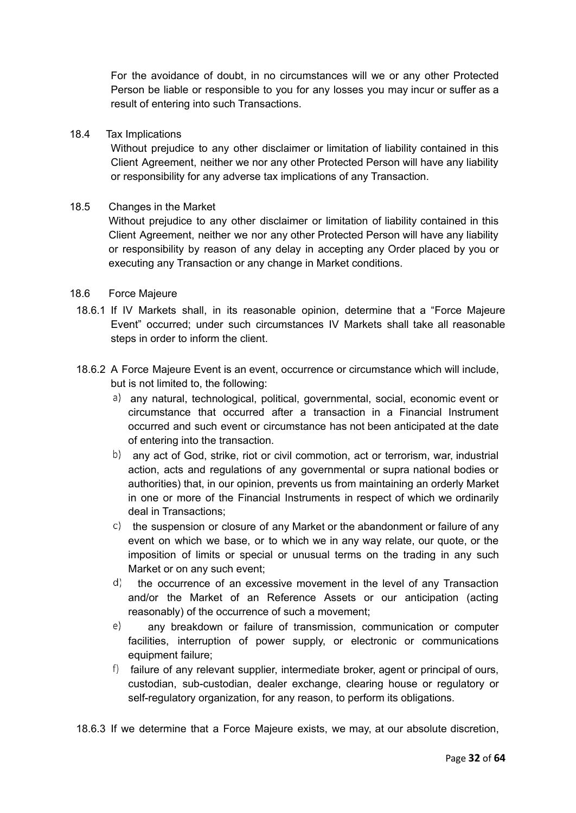For the avoidance of doubt, in no circumstances will we or any other Protected Person be liable or responsible to you for any losses you may incur or suffer as a result of entering into such Transactions.

#### 18.4 Tax Implications

Without prejudice to any other disclaimer or limitation of liability contained in this Client Agreement, neither we nor any other Protected Person will have any liability or responsibility for any adverse tax implications of any Transaction.

#### 18.5 Changes in the Market

Without prejudice to any other disclaimer or limitation of liability contained in this Client Agreement, neither we nor any other Protected Person will have any liability or responsibility by reason of any delay in accepting any Order placed by you or executing any Transaction or any change in Market conditions.

#### 18.6 Force Majeure

- 18.6.1 If IV Markets shall, in its reasonable opinion, determine that a "Force Majeure Event" occurred; under such circumstances IV Markets shall take all reasonable steps in order to inform the client.
- 18.6.2 A Force Majeure Event is an event, occurrence or circumstance which will include, but is not limited to, the following:
	- a) any natural, technological, political, governmental, social, economic event or circumstance that occurred after a transaction in a Financial Instrument occurred and such event or circumstance has not been anticipated at the date of entering into the transaction.
	- b) any act of God, strike, riot or civil commotion, act or terrorism, war, industrial action, acts and regulations of any governmental or supra national bodies or authorities) that, in our opinion, prevents us from maintaining an orderly Market in one or more of the Financial Instruments in respect of which we ordinarily deal in Transactions;
	- $\sigma$ ) the suspension or closure of any Market or the abandonment or failure of any event on which we base, or to which we in any way relate, our quote, or the imposition of limits or special or unusual terms on the trading in any such Market or on any such event;
	- d) the occurrence of an excessive movement in the level of any Transaction and/or the Market of an Reference Assets or our anticipation (acting reasonably) of the occurrence of such a movement;
	- $e)$ any breakdown or failure of transmission, communication or computer facilities, interruption of power supply, or electronic or communications equipment failure;
	- $\beta$  failure of any relevant supplier, intermediate broker, agent or principal of ours, custodian, sub-custodian, dealer exchange, clearing house or regulatory or self-regulatory organization, for any reason, to perform its obligations.

18.6.3 If we determine that a Force Majeure exists, we may, at our absolute discretion,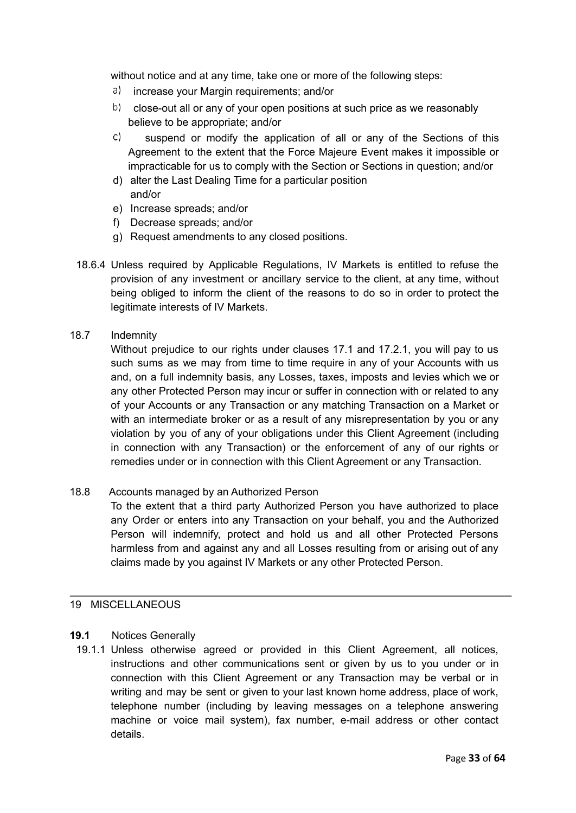without notice and at any time, take one or more of the following steps:

- a) increase your Margin requirements; and/or
- $\langle b \rangle$  close-out all or any of your open positions at such price as we reasonably believe to be appropriate; and/or
- $\mathsf{C}$ suspend or modify the application of all or any of the Sections of this Agreement to the extent that the Force Majeure Event makes it impossible or impracticable for us to comply with the Section or Sections in question; and/or
- d) alter the Last Dealing Time for a particular position and/or
- e) Increase spreads; and/or
- f) Decrease spreads; and/or
- g) Request amendments to any closed positions.
- 18.6.4 Unless required by Applicable Regulations, IV Markets is entitled to refuse the provision of any investment or ancillary service to the client, at any time, without being obliged to inform the client of the reasons to do so in order to protect the legitimate interests of IV Markets.
- 18.7 Indemnity

Without prejudice to our rights under clauses 17.1 and 17.2.1, you will pay to us such sums as we may from time to time require in any of your Accounts with us and, on a full indemnity basis, any Losses, taxes, imposts and levies which we or any other Protected Person may incur or suffer in connection with or related to any of your Accounts or any Transaction or any matching Transaction on a Market or with an intermediate broker or as a result of any misrepresentation by you or any violation by you of any of your obligations under this Client Agreement (including in connection with any Transaction) or the enforcement of any of our rights or remedies under or in connection with this Client Agreement or any Transaction.

18.8 Accounts managed by an Authorized Person

To the extent that a third party Authorized Person you have authorized to place any Order or enters into any Transaction on your behalf, you and the Authorized Person will indemnify, protect and hold us and all other Protected Persons harmless from and against any and all Losses resulting from or arising out of any claims made by you against IV Markets or any other Protected Person.

#### <span id="page-32-0"></span>19 MISCELLANEOUS

#### **19.1** Notices Generally

19.1.1 Unless otherwise agreed or provided in this Client Agreement, all notices, instructions and other communications sent or given by us to you under or in connection with this Client Agreement or any Transaction may be verbal or in writing and may be sent or given to your last known home address, place of work, telephone number (including by leaving messages on a telephone answering machine or voice mail system), fax number, e-mail address or other contact details.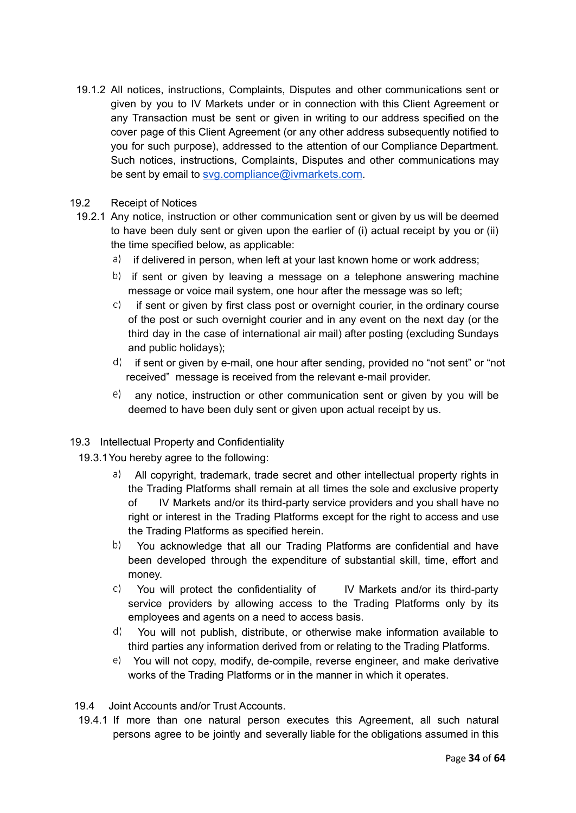- 19.1.2 All notices, instructions, Complaints, Disputes and other communications sent or given by you to IV Markets under or in connection with this Client Agreement or any Transaction must be sent or given in writing to our address specified on the cover page of this Client Agreement (or any other address subsequently notified to you for such purpose), addressed to the attention of our Compliance Department. Such notices, instructions, Complaints, Disputes and other communications may be sent by email to [svg.compliance@ivmarkets.com](mailto:compliance@geminicapital-global.com).
- 19.2 Receipt of Notices
- 19.2.1 Any notice, instruction or other communication sent or given by us will be deemed to have been duly sent or given upon the earlier of (i) actual receipt by you or (ii) the time specified below, as applicable:
	- a) if delivered in person, when left at your last known home or work address;
	- $\langle b \rangle$  if sent or given by leaving a message on a telephone answering machine message or voice mail system, one hour after the message was so left;
	- $\circ$  if sent or given by first class post or overnight courier, in the ordinary course of the post or such overnight courier and in any event on the next day (or the third day in the case of international air mail) after posting (excluding Sundays and public holidays);
	- $\mathbf{d}$  if sent or given by e-mail, one hour after sending, provided no "not sent" or "not received" message is received from the relevant e-mail provider.
	- $\ket{e}$  any notice, instruction or other communication sent or given by you will be deemed to have been duly sent or given upon actual receipt by us.

#### 19.3 Intellectual Property and Confidentiality

- 19.3.1You hereby agree to the following:
	- a) All copyright, trademark, trade secret and other intellectual property rights in the Trading Platforms shall remain at all times the sole and exclusive property of IV Markets and/or its third-party service providers and you shall have no right or interest in the Trading Platforms except for the right to access and use the Trading Platforms as specified herein.
	- b) You acknowledge that all our Trading Platforms are confidential and have been developed through the expenditure of substantial skill, time, effort and money.
	- $\circ$  You will protect the confidentiality of IV Markets and/or its third-party service providers by allowing access to the Trading Platforms only by its employees and agents on a need to access basis.
	- You will not publish, distribute, or otherwise make information available to third parties any information derived from or relating to the Trading Platforms.
	- You will not copy, modify, de-compile, reverse engineer, and make derivative works of the Trading Platforms or in the manner in which it operates.

19.4 Joint Accounts and/or Trust Accounts.

19.4.1 If more than one natural person executes this Agreement, all such natural persons agree to be jointly and severally liable for the obligations assumed in this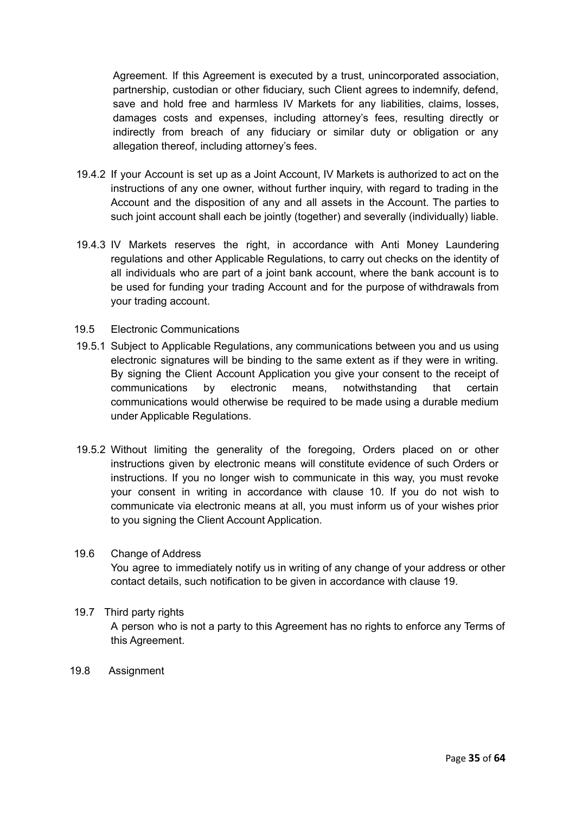Agreement. If this Agreement is executed by a trust, unincorporated association, partnership, custodian or other fiduciary, such Client agrees to indemnify, defend, save and hold free and harmless IV Markets for any liabilities, claims, losses, damages costs and expenses, including attorney's fees, resulting directly or indirectly from breach of any fiduciary or similar duty or obligation or any allegation thereof, including attorney's fees.

- 19.4.2 If your Account is set up as a Joint Account, IV Markets is authorized to act on the instructions of any one owner, without further inquiry, with regard to trading in the Account and the disposition of any and all assets in the Account. The parties to such joint account shall each be jointly (together) and severally (individually) liable.
- 19.4.3 IV Markets reserves the right, in accordance with Anti Money Laundering regulations and other Applicable Regulations, to carry out checks on the identity of all individuals who are part of a joint bank account, where the bank account is to be used for funding your trading Account and for the purpose of withdrawals from your trading account.
- 19.5 Electronic Communications
- 19.5.1 Subject to Applicable Regulations, any communications between you and us using electronic signatures will be binding to the same extent as if they were in writing. By signing the Client Account Application you give your consent to the receipt of communications by electronic means, notwithstanding that certain communications would otherwise be required to be made using a durable medium under Applicable Regulations.
- 19.5.2 Without limiting the generality of the foregoing, Orders placed on or other instructions given by electronic means will constitute evidence of such Orders or instructions. If you no longer wish to communicate in this way, you must revoke your consent in writing in accordance with clause 10. If you do not wish to communicate via electronic means at all, you must inform us of your wishes prior to you signing the Client Account Application.
- 19.6 Change of Address You agree to immediately notify us in writing of any change of your address or other contact details, such notification to be given in accordance with clause 19.
- 19.7 Third party rights A person who is not a party to this Agreement has no rights to enforce any Terms of this Agreement.
- 19.8 Assignment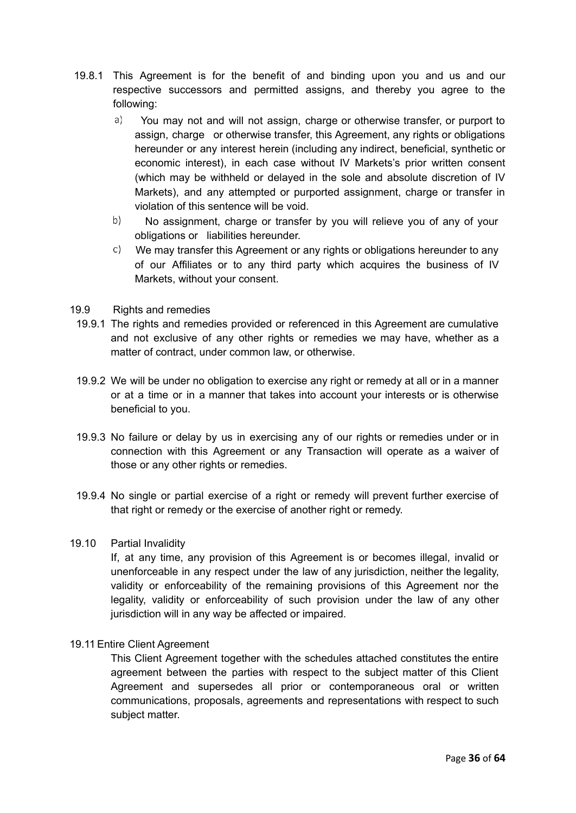- 19.8.1 This Agreement is for the benefit of and binding upon you and us and our respective successors and permitted assigns, and thereby you agree to the following:
	- $a)$ You may not and will not assign, charge or otherwise transfer, or purport to assign, charge or otherwise transfer, this Agreement, any rights or obligations hereunder or any interest herein (including any indirect, beneficial, synthetic or economic interest), in each case without IV Markets's prior written consent (which may be withheld or delayed in the sole and absolute discretion of IV Markets), and any attempted or purported assignment, charge or transfer in violation of this sentence will be void.
	- $b)$ No assignment, charge or transfer by you will relieve you of any of your obligations or liabilities hereunder.
	- $\circ$  We may transfer this Agreement or any rights or obligations hereunder to any of our Affiliates or to any third party which acquires the business of IV Markets, without your consent.
- 19.9 Rights and remedies
- 19.9.1 The rights and remedies provided or referenced in this Agreement are cumulative and not exclusive of any other rights or remedies we may have, whether as a matter of contract, under common law, or otherwise.
- 19.9.2 We will be under no obligation to exercise any right or remedy at all or in a manner or at a time or in a manner that takes into account your interests or is otherwise beneficial to you.
- 19.9.3 No failure or delay by us in exercising any of our rights or remedies under or in connection with this Agreement or any Transaction will operate as a waiver of those or any other rights or remedies.
- 19.9.4 No single or partial exercise of a right or remedy will prevent further exercise of that right or remedy or the exercise of another right or remedy.

#### 19.10 Partial Invalidity

If, at any time, any provision of this Agreement is or becomes illegal, invalid or unenforceable in any respect under the law of any jurisdiction, neither the legality, validity or enforceability of the remaining provisions of this Agreement nor the legality, validity or enforceability of such provision under the law of any other jurisdiction will in any way be affected or impaired.

#### 19.11Entire Client Agreement

This Client Agreement together with the schedules attached constitutes the entire agreement between the parties with respect to the subject matter of this Client Agreement and supersedes all prior or contemporaneous oral or written communications, proposals, agreements and representations with respect to such subject matter.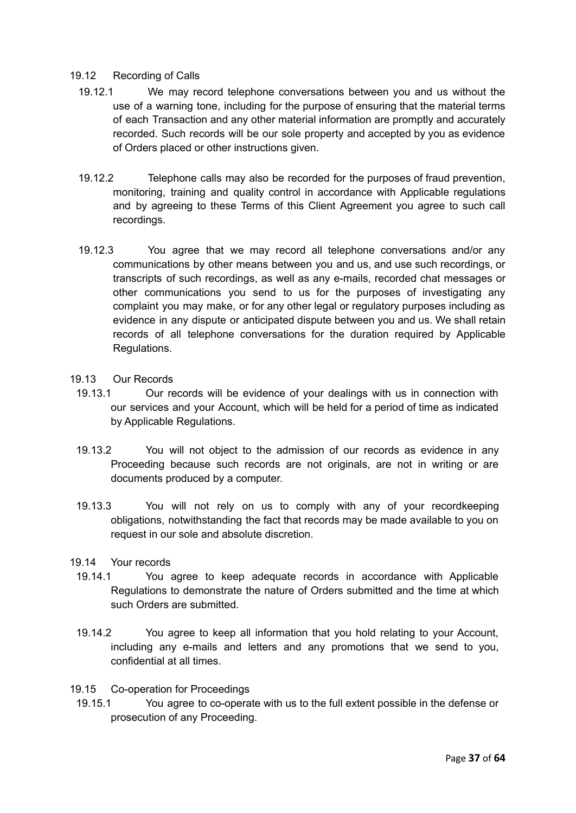#### 19.12 Recording of Calls

- 19.12.1 We may record telephone conversations between you and us without the use of a warning tone, including for the purpose of ensuring that the material terms of each Transaction and any other material information are promptly and accurately recorded. Such records will be our sole property and accepted by you as evidence of Orders placed or other instructions given.
- 19.12.2 Telephone calls may also be recorded for the purposes of fraud prevention, monitoring, training and quality control in accordance with Applicable regulations and by agreeing to these Terms of this Client Agreement you agree to such call recordings.
- 19.12.3 You agree that we may record all telephone conversations and/or any communications by other means between you and us, and use such recordings, or transcripts of such recordings, as well as any e-mails, recorded chat messages or other communications you send to us for the purposes of investigating any complaint you may make, or for any other legal or regulatory purposes including as evidence in any dispute or anticipated dispute between you and us. We shall retain records of all telephone conversations for the duration required by Applicable Regulations.

#### 19.13 Our Records

- 19.13.1 Our records will be evidence of your dealings with us in connection with our services and your Account, which will be held for a period of time as indicated by Applicable Regulations.
- 19.13.2 You will not object to the admission of our records as evidence in any Proceeding because such records are not originals, are not in writing or are documents produced by a computer.
- 19.13.3 You will not rely on us to comply with any of your recordkeeping obligations, notwithstanding the fact that records may be made available to you on request in our sole and absolute discretion.
- 19.14 Your records
	- 19.14.1 You agree to keep adequate records in accordance with Applicable Regulations to demonstrate the nature of Orders submitted and the time at which such Orders are submitted.
	- 19.14.2 You agree to keep all information that you hold relating to your Account, including any e-mails and letters and any promotions that we send to you, confidential at all times.
- 19.15 Co-operation for Proceedings
- 19.15.1 You agree to co-operate with us to the full extent possible in the defense or prosecution of any Proceeding.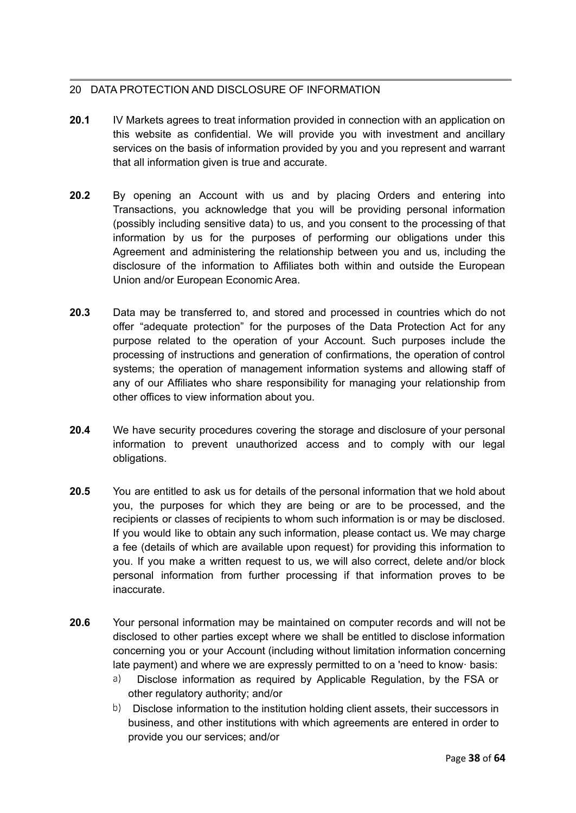### <span id="page-37-0"></span>20 DATA PROTECTION AND DISCLOSURE OF INFORMATION

- **20.1** IV Markets agrees to treat information provided in connection with an application on this website as confidential. We will provide you with investment and ancillary services on the basis of information provided by you and you represent and warrant that all information given is true and accurate.
- **20.2** By opening an Account with us and by placing Orders and entering into Transactions, you acknowledge that you will be providing personal information (possibly including sensitive data) to us, and you consent to the processing of that information by us for the purposes of performing our obligations under this Agreement and administering the relationship between you and us, including the disclosure of the information to Affiliates both within and outside the European Union and/or European Economic Area.
- **20.3** Data may be transferred to, and stored and processed in countries which do not offer "adequate protection" for the purposes of the Data Protection Act for any purpose related to the operation of your Account. Such purposes include the processing of instructions and generation of confirmations, the operation of control systems; the operation of management information systems and allowing staff of any of our Affiliates who share responsibility for managing your relationship from other offices to view information about you.
- **20.4** We have security procedures covering the storage and disclosure of your personal information to prevent unauthorized access and to comply with our legal obligations.
- **20.5** You are entitled to ask us for details of the personal information that we hold about you, the purposes for which they are being or are to be processed, and the recipients or classes of recipients to whom such information is or may be disclosed. If you would like to obtain any such information, please contact us. We may charge a fee (details of which are available upon request) for providing this information to you. If you make a written request to us, we will also correct, delete and/or block personal information from further processing if that information proves to be inaccurate.
- **20.6** Your personal information may be maintained on computer records and will not be disclosed to other parties except where we shall be entitled to disclose information concerning you or your Account (including without limitation information concerning late payment) and where we are expressly permitted to on a 'need to know· basis:
	- $a)$ Disclose information as required by Applicable Regulation, by the FSA or other regulatory authority; and/or
	- b) Disclose information to the institution holding client assets, their successors in business, and other institutions with which agreements are entered in order to provide you our services; and/or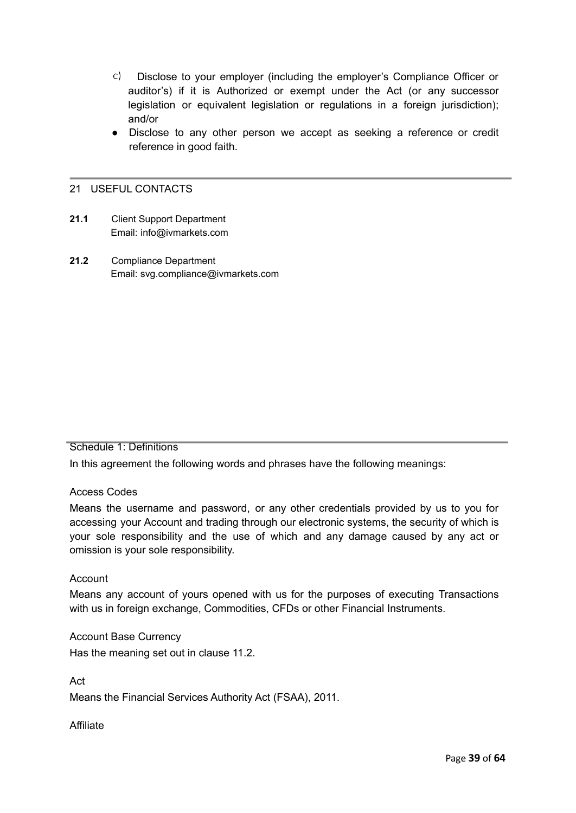- $\mathsf{C}$ ) Disclose to your employer (including the employer's Compliance Officer or auditor's) if it is Authorized or exempt under the Act (or any successor legislation or equivalent legislation or regulations in a foreign jurisdiction); and/or
- Disclose to any other person we accept as seeking a reference or credit reference in good faith.

#### <span id="page-38-0"></span>21 USEFUL CONTACTS

- **21.1** Client Support Department Email: info@ivmarkets.com
- <span id="page-38-1"></span>**21.2** Compliance Department Email: svg.compliance@ivmarkets.com

#### Schedule 1: Definitions

In this agreement the following words and phrases have the following meanings:

#### Access Codes

Means the username and password, or any other credentials provided by us to you for accessing your Account and trading through our electronic systems, the security of which is your sole responsibility and the use of which and any damage caused by any act or omission is your sole responsibility.

#### Account

Means any account of yours opened with us for the purposes of executing Transactions with us in foreign exchange, Commodities, CFDs or other Financial Instruments.

Account Base Currency Has the meaning set out in clause 11.2.

Act

Means the Financial Services Authority Act (FSAA), 2011.

Affiliate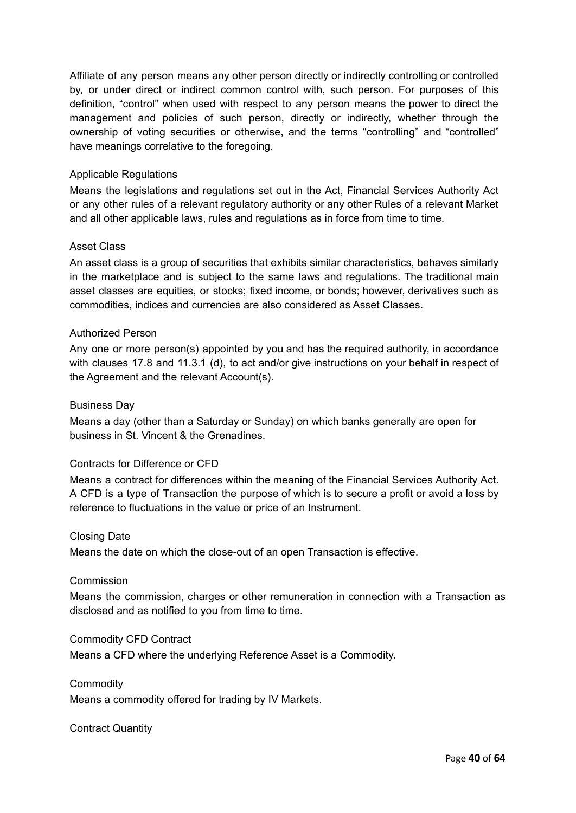Affiliate of any person means any other person directly or indirectly controlling or controlled by, or under direct or indirect common control with, such person. For purposes of this definition, "control" when used with respect to any person means the power to direct the management and policies of such person, directly or indirectly, whether through the ownership of voting securities or otherwise, and the terms "controlling" and "controlled" have meanings correlative to the foregoing.

#### Applicable Regulations

Means the legislations and regulations set out in the Act, Financial Services Authority Act or any other rules of a relevant regulatory authority or any other Rules of a relevant Market and all other applicable laws, rules and regulations as in force from time to time.

#### Asset Class

An asset class is a group of securities that exhibits similar characteristics, behaves similarly in the marketplace and is subject to the same laws and regulations. The traditional main asset classes are equities, or stocks; fixed income, or bonds; however, derivatives such as commodities, indices and currencies are also considered as Asset Classes.

#### Authorized Person

Any one or more person(s) appointed by you and has the required authority, in accordance with clauses 17.8 and 11.3.1 (d), to act and/or give instructions on your behalf in respect of the Agreement and the relevant Account(s).

#### Business Day

Means a day (other than a Saturday or Sunday) on which banks generally are open for business in St. Vincent & the Grenadines.

#### Contracts for Difference or CFD

Means a contract for differences within the meaning of the Financial Services Authority Act. A CFD is a type of Transaction the purpose of which is to secure a profit or avoid a loss by reference to fluctuations in the value or price of an Instrument.

#### Closing Date

Means the date on which the close-out of an open Transaction is effective.

#### Commission

Means the commission, charges or other remuneration in connection with a Transaction as disclosed and as notified to you from time to time.

#### Commodity CFD Contract

Means a CFD where the underlying Reference Asset is a Commodity.

**Commodity** 

Means a commodity offered for trading by IV Markets.

#### Contract Quantity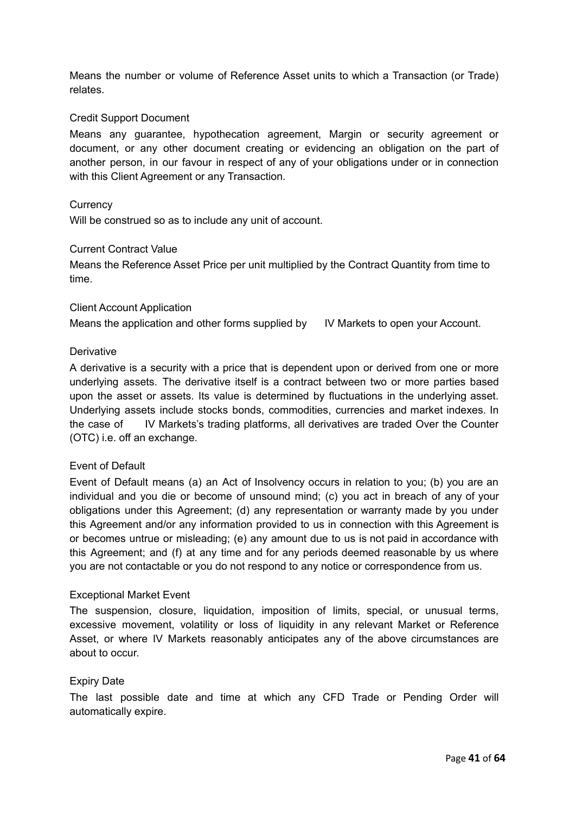Means the number or volume of Reference Asset units to which a Transaction (or Trade) relates.

#### Credit Support Document

Means any guarantee, hypothecation agreement, Margin or security agreement or document, or any other document creating or evidencing an obligation on the part of another person, in our favour in respect of any of your obligations under or in connection with this Client Agreement or any Transaction.

#### **Currency**

Will be construed so as to include any unit of account.

#### Current Contract Value

Means the Reference Asset Price per unit multiplied by the Contract Quantity from time to time.

#### Client Account Application

Means the application and other forms supplied by IV Markets to open your Account.

#### **Derivative**

A derivative is a security with a price that is dependent upon or derived from one or more underlying assets. The derivative itself is a contract between two or more parties based upon the asset or assets. Its value is determined by fluctuations in the underlying asset. Underlying assets include stocks bonds, commodities, currencies and market indexes. In the case of IV Markets's trading platforms, all derivatives are traded Over the Counter (OTC) i.e. off an exchange.

#### Event of Default

Event of Default means (a) an Act of Insolvency occurs in relation to you; (b) you are an individual and you die or become of unsound mind; (c) you act in breach of any of your obligations under this Agreement; (d) any representation or warranty made by you under this Agreement and/or any information provided to us in connection with this Agreement is or becomes untrue or misleading; (e) any amount due to us is not paid in accordance with this Agreement; and (f) at any time and for any periods deemed reasonable by us where you are not contactable or you do not respond to any notice or correspondence from us.

#### Exceptional Market Event

The suspension, closure, liquidation, imposition of limits, special, or unusual terms, excessive movement, volatility or loss of liquidity in any relevant Market or Reference Asset, or where IV Markets reasonably anticipates any of the above circumstances are about to occur.

#### Expiry Date

The last possible date and time at which any CFD Trade or Pending Order will automatically expire.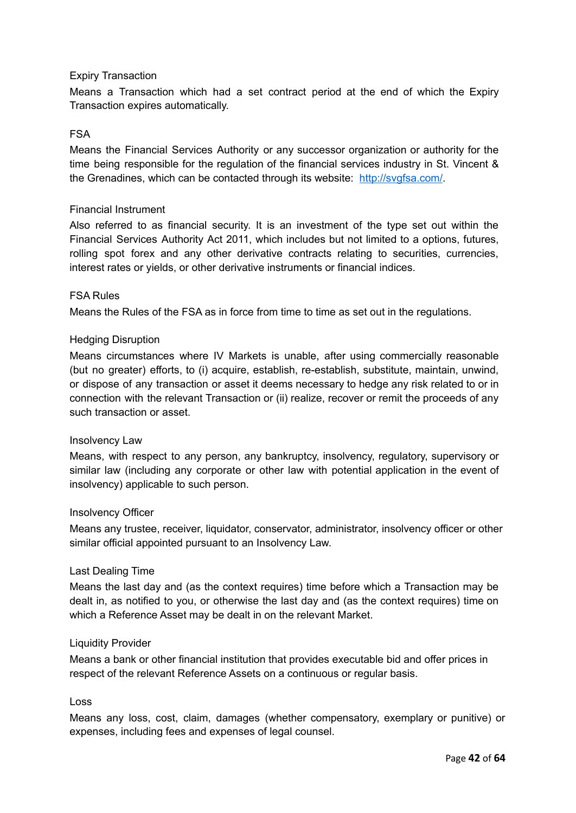#### Expiry Transaction

Means a Transaction which had a set contract period at the end of which the Expiry Transaction expires automatically.

#### FSA

Means the Financial Services Authority or any successor organization or authority for the time being responsible for the regulation of the financial services industry in St. Vincent & the Grenadines, which can be contacted through its website: [http://svgfsa.com/.](http://www.scb.gov.bs/)

#### Financial Instrument

Also referred to as financial security. It is an investment of the type set out within the Financial Services Authority Act 2011, which includes but not limited to a options, futures, rolling spot forex and any other derivative contracts relating to securities, currencies, interest rates or yields, or other derivative instruments or financial indices.

#### FSA Rules

Means the Rules of the FSA as in force from time to time as set out in the regulations.

#### Hedging Disruption

Means circumstances where IV Markets is unable, after using commercially reasonable (but no greater) efforts, to (i) acquire, establish, re-establish, substitute, maintain, unwind, or dispose of any transaction or asset it deems necessary to hedge any risk related to or in connection with the relevant Transaction or (ii) realize, recover or remit the proceeds of any such transaction or asset.

#### Insolvency Law

Means, with respect to any person, any bankruptcy, insolvency, regulatory, supervisory or similar law (including any corporate or other law with potential application in the event of insolvency) applicable to such person.

#### Insolvency Officer

Means any trustee, receiver, liquidator, conservator, administrator, insolvency officer or other similar official appointed pursuant to an Insolvency Law.

#### Last Dealing Time

Means the last day and (as the context requires) time before which a Transaction may be dealt in, as notified to you, or otherwise the last day and (as the context requires) time on which a Reference Asset may be dealt in on the relevant Market.

#### Liquidity Provider

Means a bank or other financial institution that provides executable bid and offer prices in respect of the relevant Reference Assets on a continuous or regular basis.

#### Loss

Means any loss, cost, claim, damages (whether compensatory, exemplary or punitive) or expenses, including fees and expenses of legal counsel.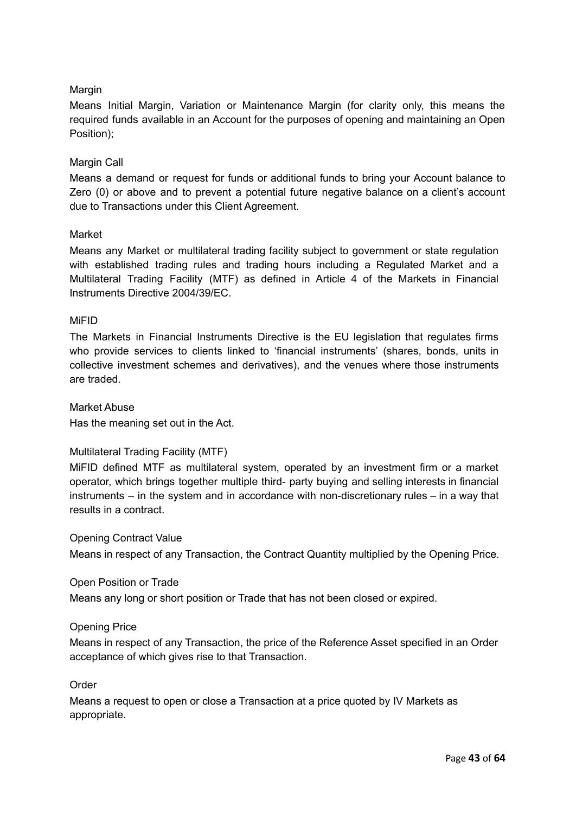## Margin

Means Initial Margin, Variation or Maintenance Margin (for clarity only, this means the required funds available in an Account for the purposes of opening and maintaining an Open Position);

#### Margin Call

Means a demand or request for funds or additional funds to bring your Account balance to Zero (0) or above and to prevent a potential future negative balance on a client's account due to Transactions under this Client Agreement.

#### Market

Means any Market or multilateral trading facility subject to government or state regulation with established trading rules and trading hours including a Regulated Market and a Multilateral Trading Facility (MTF) as defined in Article 4 of the Markets in Financial Instruments Directive 2004/39/EC.

#### MiFID

The Markets in Financial Instruments Directive is the EU legislation that regulates firms who provide services to clients linked to 'financial instruments' (shares, bonds, units in collective investment schemes and derivatives), and the venues where those instruments are traded.

#### Market Abuse

Has the meaning set out in the Act.

#### Multilateral Trading Facility (MTF)

MiFID defined MTF as multilateral system, operated by an investment firm or a market operator, which brings together multiple third- party buying and selling interests in financial instruments – in the system and in accordance with non-discretionary rules – in a way that results in a contract.

Opening Contract Value

Means in respect of any Transaction, the Contract Quantity multiplied by the Opening Price.

#### Open Position or Trade

Means any long or short position or Trade that has not been closed or expired.

#### Opening Price

Means in respect of any Transaction, the price of the Reference Asset specified in an Order acceptance of which gives rise to that Transaction.

Order

Means a request to open or close a Transaction at a price quoted by IV Markets as appropriate.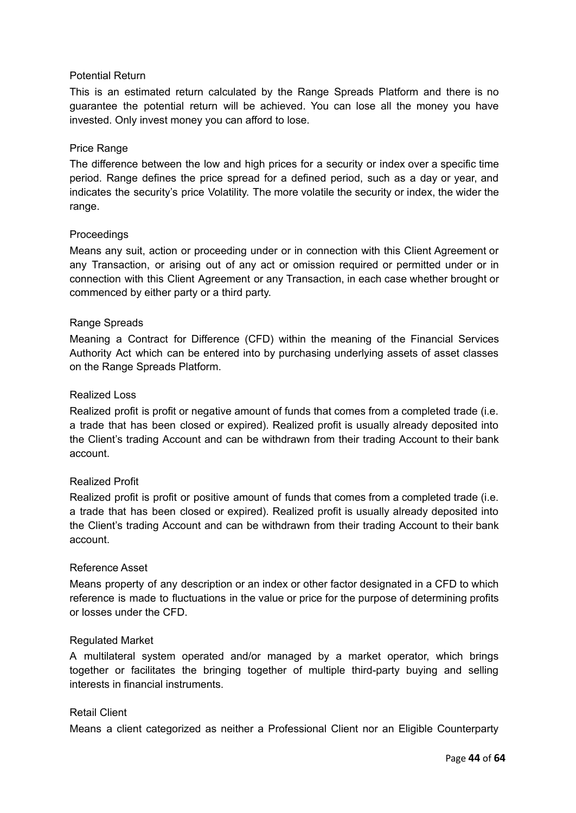#### Potential Return

This is an estimated return calculated by the Range Spreads Platform and there is no guarantee the potential return will be achieved. You can lose all the money you have invested. Only invest money you can afford to lose.

#### Price Range

The difference between the low and high prices for a security or index over a specific time period. Range defines the price spread for a defined period, such as a day or year, and indicates the security's price Volatility. The more volatile the security or index, the wider the range.

#### **Proceedings**

Means any suit, action or proceeding under or in connection with this Client Agreement or any Transaction, or arising out of any act or omission required or permitted under or in connection with this Client Agreement or any Transaction, in each case whether brought or commenced by either party or a third party.

#### Range Spreads

Meaning a Contract for Difference (CFD) within the meaning of the Financial Services Authority Act which can be entered into by purchasing underlying assets of asset classes on the Range Spreads Platform.

#### Realized Loss

Realized profit is profit or negative amount of funds that comes from a completed trade (i.e. a trade that has been closed or expired). Realized profit is usually already deposited into the Client's trading Account and can be withdrawn from their trading Account to their bank account.

#### Realized Profit

Realized profit is profit or positive amount of funds that comes from a completed trade (i.e. a trade that has been closed or expired). Realized profit is usually already deposited into the Client's trading Account and can be withdrawn from their trading Account to their bank account.

#### Reference Asset

Means property of any description or an index or other factor designated in a CFD to which reference is made to fluctuations in the value or price for the purpose of determining profits or losses under the CFD.

#### Regulated Market

A multilateral system operated and/or managed by a market operator, which brings together or facilitates the bringing together of multiple third-party buying and selling interests in financial instruments.

#### Retail Client

Means a client categorized as neither a Professional Client nor an Eligible Counterparty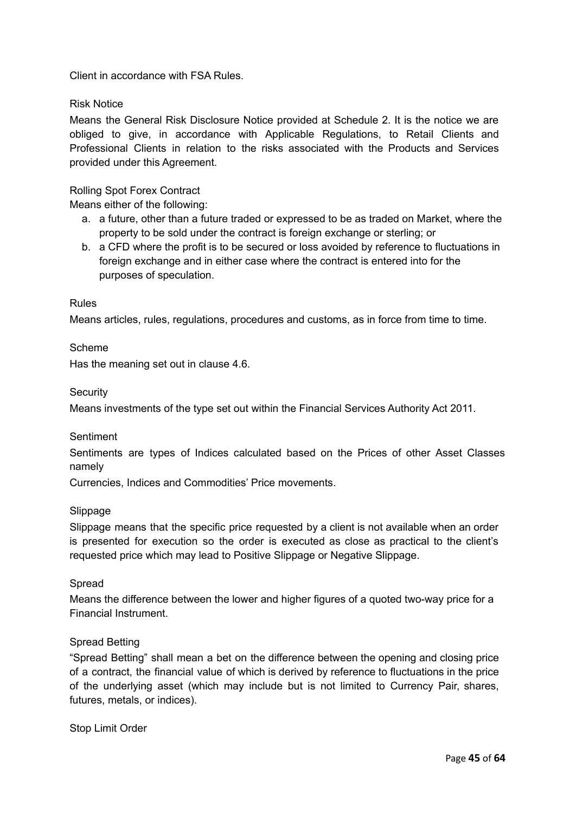Client in accordance with FSA Rules.

#### Risk Notice

Means the General Risk Disclosure Notice provided at Schedule 2. It is the notice we are obliged to give, in accordance with Applicable Regulations, to Retail Clients and Professional Clients in relation to the risks associated with the Products and Services provided under this Agreement.

#### Rolling Spot Forex Contract

Means either of the following:

- a. a future, other than a future traded or expressed to be as traded on Market, where the property to be sold under the contract is foreign exchange or sterling; or
- b. a CFD where the profit is to be secured or loss avoided by reference to fluctuations in foreign exchange and in either case where the contract is entered into for the purposes of speculation.

#### Rules

Means articles, rules, regulations, procedures and customs, as in force from time to time.

#### Scheme

Has the meaning set out in clause 4.6.

**Security** 

Means investments of the type set out within the Financial Services Authority Act 2011.

#### **Sentiment**

Sentiments are types of Indices calculated based on the Prices of other Asset Classes namely

Currencies, Indices and Commodities' Price movements.

#### Slippage

Slippage means that the specific price requested by a client is not available when an order is presented for execution so the order is executed as close as practical to the client's requested price which may lead to Positive Slippage or Negative Slippage.

#### Spread

Means the difference between the lower and higher figures of a quoted two-way price for a Financial Instrument.

#### Spread Betting

"Spread Betting" shall mean a bet on the difference between the opening and closing price of a contract, the financial value of which is derived by reference to fluctuations in the price of the underlying asset (which may include but is not limited to Currency Pair, shares, futures, metals, or indices).

Stop Limit Order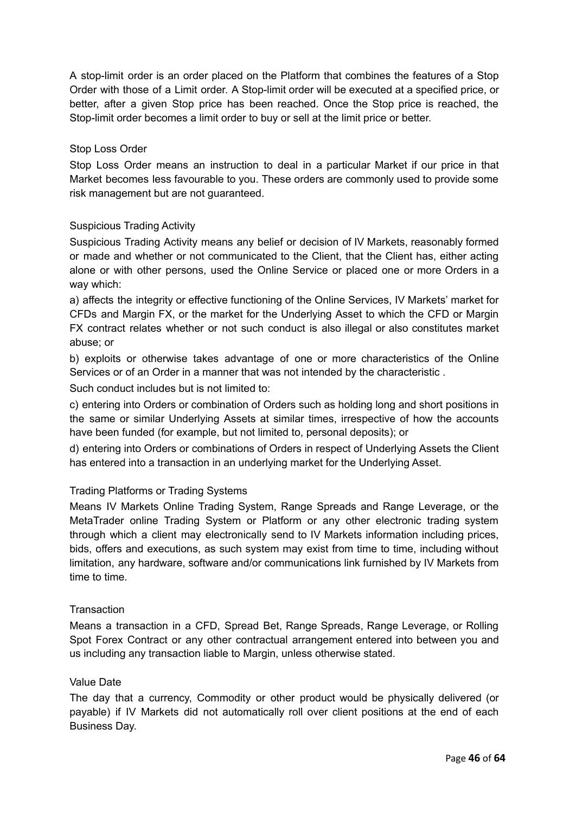A stop-limit order is an order placed on the Platform that combines the features of a [Stop](http://www.investopedia.com/terms/s/stoporder.asp) [Order](http://www.investopedia.com/terms/s/stoporder.asp) with those of a Limit order. A Stop-limit order will be executed at a specified price, or better, after a given Stop price has been reached. Once the Stop price is reached, the Stop-limit order becomes a limit [order](http://www.investopedia.com/terms/l/limitorder.asp) to buy or sell at the limit price or better.

#### Stop Loss Order

Stop Loss Order means an instruction to deal in a particular Market if our price in that Market becomes less favourable to you. These orders are commonly used to provide some risk management but are not guaranteed.

#### Suspicious Trading Activity

Suspicious Trading Activity means any belief or decision of IV Markets, reasonably formed or made and whether or not communicated to the Client, that the Client has, either acting alone or with other persons, used the Online Service or placed one or more Orders in a way which:

a) affects the integrity or effective functioning of the Online Services, IV Markets' market for CFDs and Margin FX, or the market for the Underlying Asset to which the CFD or Margin FX contract relates whether or not such conduct is also illegal or also constitutes market abuse; or

b) exploits or otherwise takes advantage of one or more characteristics of the Online Services or of an Order in a manner that was not intended by the characteristic .

Such conduct includes but is not limited to:

c) entering into Orders or combination of Orders such as holding long and short positions in the same or similar Underlying Assets at similar times, irrespective of how the accounts have been funded (for example, but not limited to, personal deposits); or

d) entering into Orders or combinations of Orders in respect of Underlying Assets the Client has entered into a transaction in an underlying market for the Underlying Asset.

#### Trading Platforms or Trading Systems

Means IV Markets Online Trading System, Range Spreads and Range Leverage, or the MetaTrader online Trading System or Platform or any other electronic trading system through which a client may electronically send to IV Markets information including prices, bids, offers and executions, as such system may exist from time to time, including without limitation, any hardware, software and/or communications link furnished by IV Markets from time to time.

#### **Transaction**

Means a transaction in a CFD, Spread Bet, Range Spreads, Range Leverage, or Rolling Spot Forex Contract or any other contractual arrangement entered into between you and us including any transaction liable to Margin, unless otherwise stated.

#### Value Date

The day that a currency, Commodity or other product would be physically delivered (or payable) if IV Markets did not automatically roll over client positions at the end of each Business Day.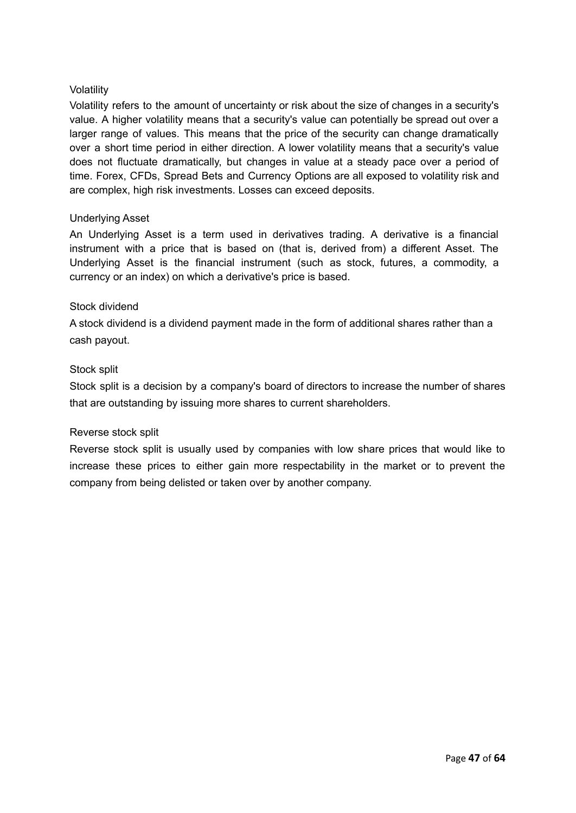#### Volatility

Volatility refers to the amount of uncertainty or risk about the size of changes in a security's value. A higher volatility means that a security's value can potentially be spread out over a larger range of values. This means that the price of the security can change dramatically over a short time period in either direction. A lower volatility means that a security's value does not fluctuate dramatically, but changes in value at a steady pace over a period of time. Forex, CFDs, Spread Bets and Currency Options are all exposed to volatility risk and are complex, high risk investments. Losses can exceed deposits.

#### Underlying Asset

An Underlying Asset is a term used in derivatives trading. A derivative is a financial instrument with a price that is based on (that is, derived from) a different Asset. The Underlying Asset is the financial instrument (such as stock, futures, a commodity, a currency or an index) on which a derivative's price is based.

#### Stock dividend

A stock dividend is a dividend payment made in the form of additional shares rather than a cash payout.

#### Stock split

Stock split is a decision by a company's board of directors to increase the number of shares that are outstanding by issuing more shares to current shareholders.

#### Reverse stock split

Reverse stock split is usually used by companies with low share prices that would like to increase these prices to either gain more respectability in the market or to prevent the company from being delisted or taken over by another company.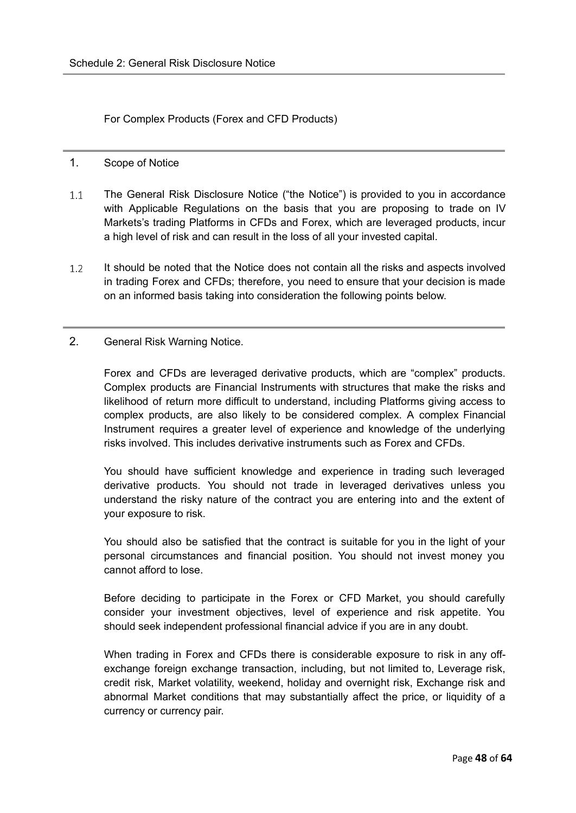<span id="page-47-0"></span>For Complex Products (Forex and CFD Products)

- <span id="page-47-1"></span>1. Scope of Notice
- $1.1$ The General Risk Disclosure Notice ("the Notice") is provided to you in accordance with Applicable Regulations on the basis that you are proposing to trade on IV Markets's trading Platforms in CFDs and Forex, which are leveraged products, incur a high level of risk and can result in the loss of all your invested capital.
- $1.2$ It should be noted that the Notice does not contain all the risks and aspects involved in trading Forex and CFDs; therefore, you need to ensure that your decision is made on an informed basis taking into consideration the following points below.
- <span id="page-47-2"></span>2. General Risk Warning Notice.

Forex and CFDs are leveraged derivative products, which are "complex" products. Complex products are Financial Instruments with structures that make the risks and likelihood of return more difficult to understand, including Platforms giving access to complex products, are also likely to be considered complex. A complex Financial Instrument requires a greater level of experience and knowledge of the underlying risks involved. This includes derivative instruments such as Forex and CFDs.

You should have sufficient knowledge and experience in trading such leveraged derivative products. You should not trade in leveraged derivatives unless you understand the risky nature of the contract you are entering into and the extent of your exposure to risk.

You should also be satisfied that the contract is suitable for you in the light of your personal circumstances and financial position. You should not invest money you cannot afford to lose.

Before deciding to participate in the Forex or CFD Market, you should carefully consider your investment objectives, level of experience and risk appetite. You should seek independent professional financial advice if you are in any doubt.

When trading in Forex and CFDs there is considerable exposure to risk in any offexchange foreign exchange transaction, including, but not limited to, Leverage risk, credit risk, Market volatility, weekend, holiday and overnight risk, Exchange risk and abnormal Market conditions that may substantially affect the price, or liquidity of a currency or currency pair.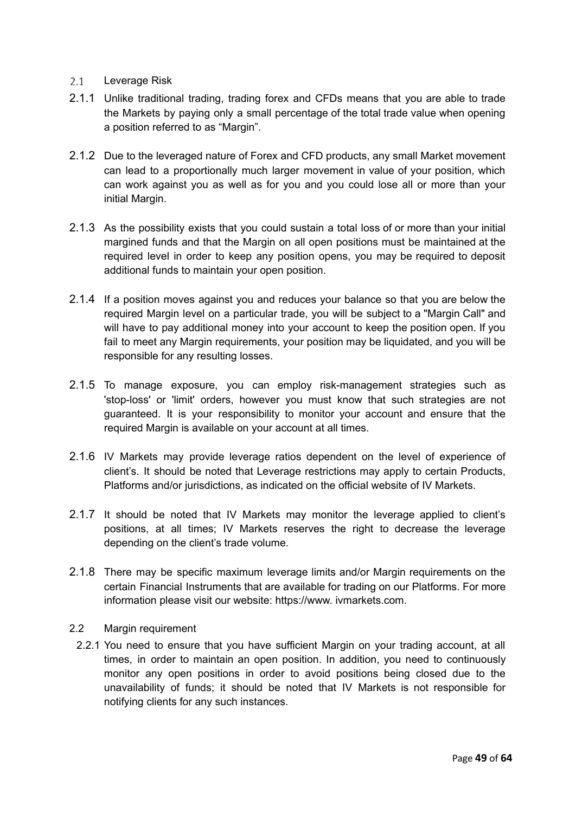#### $2.1$ Leverage Risk

- 2.1.1 Unlike traditional trading, trading forex and CFDs means that you are able to trade the Markets by paying only a small percentage of the total trade value when opening a position referred to as "Margin".
- 2.1.2 Due to the leveraged nature of Forex and CFD products, any small Market movement can lead to a proportionally much larger movement in value of your position, which can work against you as well as for you and you could lose all or more than your initial Margin.
- 2.1.3 As the possibility exists that you could sustain a total loss of or more than your initial margined funds and that the Margin on all open positions must be maintained at the required level in order to keep any position opens, you may be required to deposit additional funds to maintain your open position.
- 2.1.4 If a position moves against you and reduces your balance so that you are below the required Margin level on a particular trade, you will be subject to a "Margin Call" and will have to pay additional money into your account to keep the position open. If you fail to meet any Margin requirements, your position may be liquidated, and you will be responsible for any resulting losses.
- 2.1.5 To manage exposure, you can employ risk-management strategies such as 'stop-loss' or 'limit' orders, however you must know that such strategies are not guaranteed. It is your responsibility to monitor your account and ensure that the required Margin is available on your account at all times.
- 2.1.6 IV Markets may provide leverage ratios dependent on the level of experience of client's. It should be noted that Leverage restrictions may apply to certain Products, Platforms and/or jurisdictions, as indicated on the official website of IV Markets.
- 2.1.7 It should be noted that IV Markets may monitor the leverage applied to client's positions, at all times; IV Markets reserves the right to decrease the leverage depending on the client's trade volume.
- 2.1.8 There may be specific maximum leverage limits and/or Margin requirements on the certain Financial Instruments that are available for trading on our Platforms. For more information please visit our website: https://www. ivmarkets.com.

#### 2.2 Margin requirement

2.2.1 You need to ensure that you have sufficient Margin on your trading account, at all times, in order to maintain an open position. In addition, you need to continuously monitor any open positions in order to avoid positions being closed due to the unavailability of funds; it should be noted that IV Markets is not responsible for notifying clients for any such instances.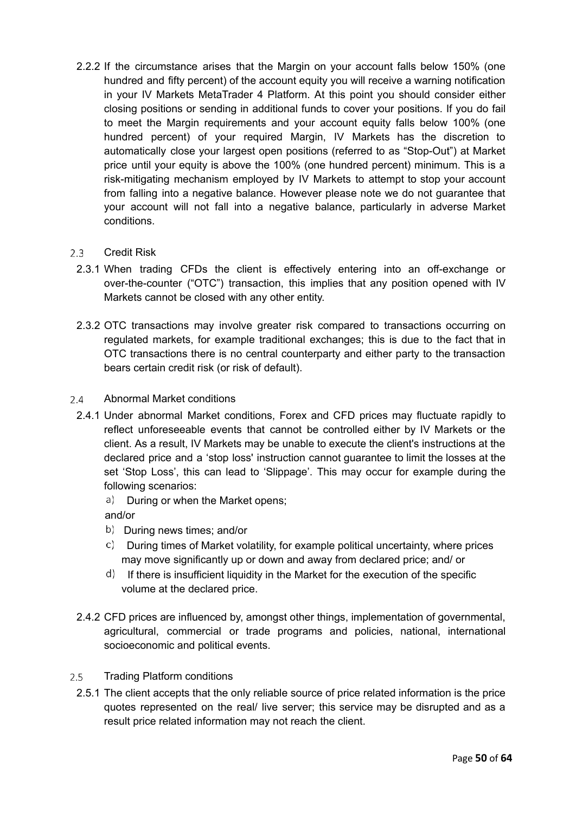- 2.2.2 If the circumstance arises that the Margin on your account falls below 150% (one hundred and fifty percent) of the account equity you will receive a warning notification in your IV Markets MetaTrader 4 Platform. At this point you should consider either closing positions or sending in additional funds to cover your positions. If you do fail to meet the Margin requirements and your account equity falls below 100% (one hundred percent) of your required Margin, IV Markets has the discretion to automatically close your largest open positions (referred to as "Stop-Out") at Market price until your equity is above the 100% (one hundred percent) minimum. This is a risk-mitigating mechanism employed by IV Markets to attempt to stop your account from falling into a negative balance. However please note we do not guarantee that your account will not fall into a negative balance, particularly in adverse Market conditions.
- $2.3 -$ Credit Risk
	- 2.3.1 When trading CFDs the client is effectively entering into an off-exchange or over-the-counter ("OTC") transaction, this implies that any position opened with IV Markets cannot be closed with any other entity.
	- 2.3.2 OTC transactions may involve greater risk compared to transactions occurring on regulated markets, for example traditional exchanges; this is due to the fact that in OTC transactions there is no central counterparty and either party to the transaction bears certain credit risk (or risk of default).
- $24$ Abnormal Market conditions
- 2.4.1 Under abnormal Market conditions, Forex and CFD prices may fluctuate rapidly to reflect unforeseeable events that cannot be controlled either by IV Markets or the client. As a result, IV Markets may be unable to execute the client's instructions at the declared price and a 'stop loss' instruction cannot guarantee to limit the losses at the set 'Stop Loss', this can lead to 'Slippage'. This may occur for example during the following scenarios:
	- a) During or when the Market opens;

and/or

- b) During news times; and/or
- $\circ$  During times of Market volatility, for example political uncertainty, where prices may move significantly up or down and away from declared price; and/ or
- $\mathsf{d}$ ) If there is insufficient liquidity in the Market for the execution of the specific volume at the declared price.
- 2.4.2 CFD prices are influenced by, amongst other things, implementation of governmental, agricultural, commercial or trade programs and policies, national, international socioeconomic and political events.
- $2.5$ Trading Platform conditions
	- 2.5.1 The client accepts that the only reliable source of price related information is the price quotes represented on the real/ live server; this service may be disrupted and as a result price related information may not reach the client.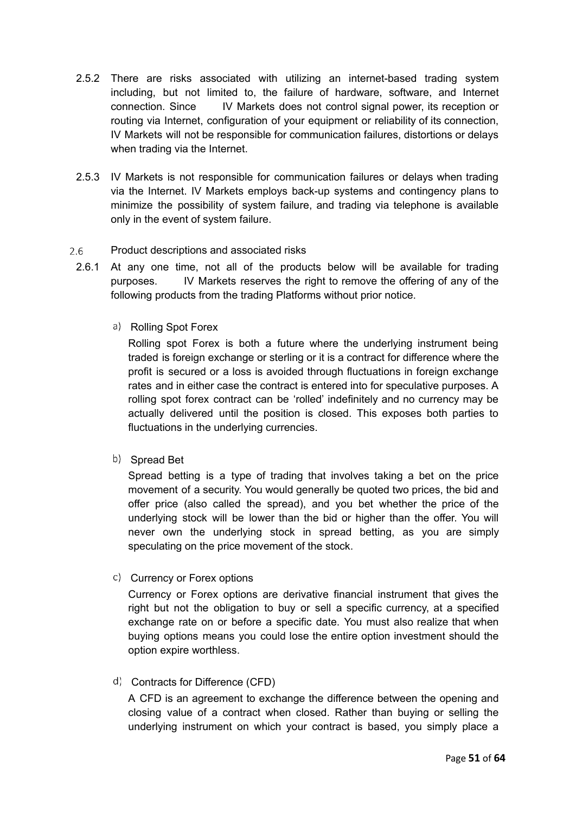- 2.5.2 There are risks associated with utilizing an internet-based trading system including, but not limited to, the failure of hardware, software, and Internet connection. Since IV Markets does not control signal power, its reception or routing via Internet, configuration of your equipment or reliability of its connection, IV Markets will not be responsible for communication failures, distortions or delays when trading via the Internet.
- 2.5.3 IV Markets is not responsible for communication failures or delays when trading via the Internet. IV Markets employs back-up systems and contingency plans to minimize the possibility of system failure, and trading via telephone is available only in the event of system failure.

#### $2.6$ Product descriptions and associated risks

- 2.6.1 At any one time, not all of the products below will be available for trading purposes. IV Markets reserves the right to remove the offering of any of the following products from the trading Platforms without prior notice.
	- a) Rolling Spot Forex

Rolling spot Forex is both a future where the underlying instrument being traded is foreign exchange or sterling or it is a contract for difference where the profit is secured or a loss is avoided through fluctuations in foreign exchange rates and in either case the contract is entered into for speculative purposes. A rolling spot forex contract can be 'rolled' indefinitely and no currency may be actually delivered until the position is closed. This exposes both parties to fluctuations in the underlying currencies.

b) Spread Bet

Spread betting is a type of trading that involves taking a bet on the price movement of a security. You would generally be quoted two prices, the bid and offer price (also called the spread), and you bet whether the price of the underlying stock will be lower than the bid or higher than the offer. You will never own the underlying stock in spread betting, as you are simply speculating on the price movement of the stock.

c) Currency or Forex options

Currency or Forex options are derivative financial instrument that gives the right but not the obligation to buy or sell a specific currency, at a specified exchange rate on or before a specific date. You must also realize that when buying options means you could lose the entire option investment should the option expire worthless.

d) Contracts for Difference (CFD)

A CFD is an agreement to exchange the difference between the opening and closing value of a contract when closed. Rather than buying or selling the underlying instrument on which your contract is based, you simply place a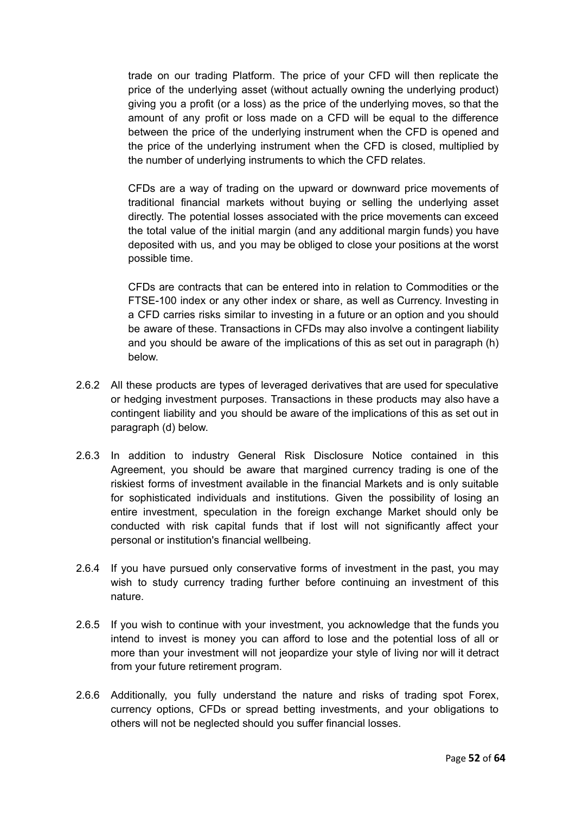trade on our trading Platform. The price of your CFD will then replicate the price of the underlying asset (without actually owning the underlying product) giving you a profit (or a loss) as the price of the underlying moves, so that the amount of any profit or loss made on a CFD will be equal to the difference between the price of the underlying instrument when the CFD is opened and the price of the underlying instrument when the CFD is closed, multiplied by the number of underlying instruments to which the CFD relates.

CFDs are a way of trading on the upward or downward price movements of traditional financial markets without buying or selling the underlying asset directly. The potential losses associated with the price movements can exceed the total value of the initial margin (and any additional margin funds) you have deposited with us, and you may be obliged to close your positions at the worst possible time.

CFDs are contracts that can be entered into in relation to Commodities or the FTSE-100 index or any other index or share, as well as Currency. Investing in a CFD carries risks similar to investing in a future or an option and you should be aware of these. Transactions in CFDs may also involve a contingent liability and you should be aware of the implications of this as set out in paragraph (h) below.

- 2.6.2 All these products are types of leveraged derivatives that are used for speculative or hedging investment purposes. Transactions in these products may also have a contingent liability and you should be aware of the implications of this as set out in paragraph (d) below.
- 2.6.3 In addition to industry General Risk Disclosure Notice contained in this Agreement, you should be aware that margined currency trading is one of the riskiest forms of investment available in the financial Markets and is only suitable for sophisticated individuals and institutions. Given the possibility of losing an entire investment, speculation in the foreign exchange Market should only be conducted with risk capital funds that if lost will not significantly affect your personal or institution's financial wellbeing.
- 2.6.4 If you have pursued only conservative forms of investment in the past, you may wish to study currency trading further before continuing an investment of this nature.
- 2.6.5 If you wish to continue with your investment, you acknowledge that the funds you intend to invest is money you can afford to lose and the potential loss of all or more than your investment will not jeopardize your style of living nor will it detract from your future retirement program.
- 2.6.6 Additionally, you fully understand the nature and risks of trading spot Forex, currency options, CFDs or spread betting investments, and your obligations to others will not be neglected should you suffer financial losses.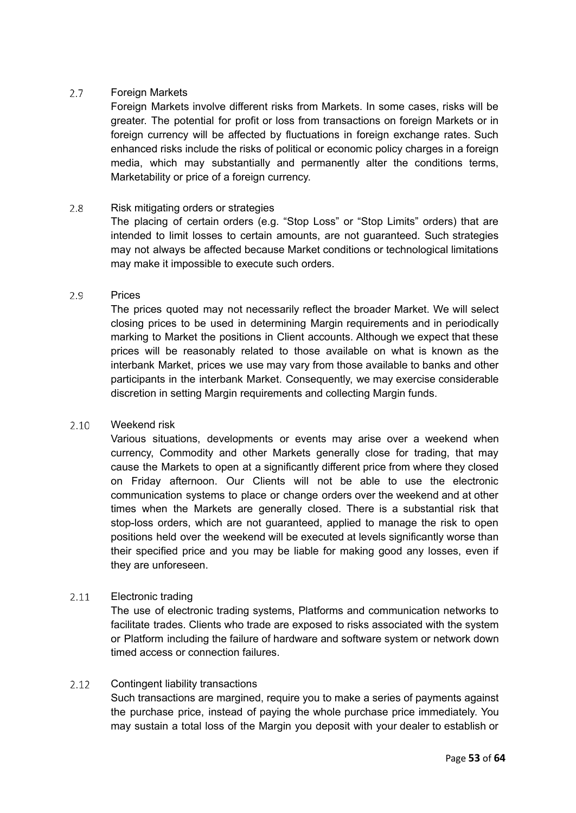#### $2.7$ Foreign Markets

Foreign Markets involve different risks from Markets. In some cases, risks will be greater. The potential for profit or loss from transactions on foreign Markets or in foreign currency will be affected by fluctuations in foreign exchange rates. Such enhanced risks include the risks of political or economic policy charges in a foreign media, which may substantially and permanently alter the conditions terms, Marketability or price of a foreign currency.

#### $2.8$ Risk mitigating orders or strategies

The placing of certain orders (e.g. "Stop Loss" or "Stop Limits" orders) that are intended to limit losses to certain amounts, are not guaranteed. Such strategies may not always be affected because Market conditions or technological limitations may make it impossible to execute such orders.

#### Prices 2.9

The prices quoted may not necessarily reflect the broader Market. We will select closing prices to be used in determining Margin requirements and in periodically marking to Market the positions in Client accounts. Although we expect that these prices will be reasonably related to those available on what is known as the interbank Market, prices we use may vary from those available to banks and other participants in the interbank Market. Consequently, we may exercise considerable discretion in setting Margin requirements and collecting Margin funds.

#### Weekend risk  $2.10$

Various situations, developments or events may arise over a weekend when currency, Commodity and other Markets generally close for trading, that may cause the Markets to open at a significantly different price from where they closed on Friday afternoon. Our Clients will not be able to use the electronic communication systems to place or change orders over the weekend and at other times when the Markets are generally closed. There is a substantial risk that stop-loss orders, which are not guaranteed, applied to manage the risk to open positions held over the weekend will be executed at levels significantly worse than their specified price and you may be liable for making good any losses, even if they are unforeseen.

#### Electronic trading  $2.11$

The use of electronic trading systems, Platforms and communication networks to facilitate trades. Clients who trade are exposed to risks associated with the system or Platform including the failure of hardware and software system or network down timed access or connection failures.

#### Contingent liability transactions  $2.12$

Such transactions are margined, require you to make a series of payments against the purchase price, instead of paying the whole purchase price immediately. You may sustain a total loss of the Margin you deposit with your dealer to establish or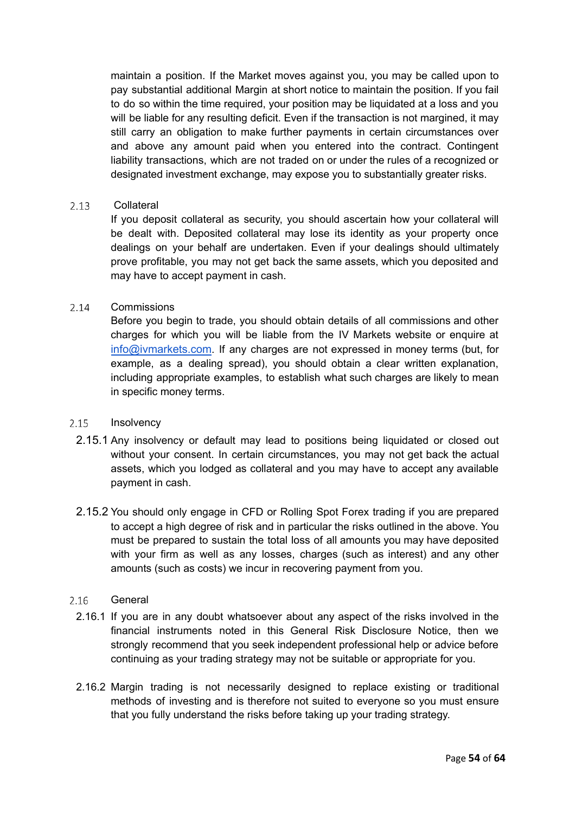maintain a position. If the Market moves against you, you may be called upon to pay substantial additional Margin at short notice to maintain the position. If you fail to do so within the time required, your position may be liquidated at a loss and you will be liable for any resulting deficit. Even if the transaction is not margined, it may still carry an obligation to make further payments in certain circumstances over and above any amount paid when you entered into the contract. Contingent liability transactions, which are not traded on or under the rules of a recognized or designated investment exchange, may expose you to substantially greater risks.

#### $2.13$ Collateral

If you deposit collateral as security, you should ascertain how your collateral will be dealt with. Deposited collateral may lose its identity as your property once dealings on your behalf are undertaken. Even if your dealings should ultimately prove profitable, you may not get back the same assets, which you deposited and may have to accept payment in cash.

#### $2.14$ **Commissions**

Before you begin to trade, you should obtain details of all commissions and other charges for which you will be liable from the IV Markets website or enquire at [info@ivmarkets.com](mailto:support@geminicapital-global.com). If any charges are not expressed in money terms (but, for example, as a dealing spread), you should obtain a clear written explanation, including appropriate examples, to establish what such charges are likely to mean in specific money terms.

#### $2.15$ **Insolvency**

- 2.15.1 Any insolvency or default may lead to positions being liquidated or closed out without your consent. In certain circumstances, you may not get back the actual assets, which you lodged as collateral and you may have to accept any available payment in cash.
- 2.15.2 You should only engage in CFD or Rolling Spot Forex trading if you are prepared to accept a high degree of risk and in particular the risks outlined in the above. You must be prepared to sustain the total loss of all amounts you may have deposited with your firm as well as any losses, charges (such as interest) and any other amounts (such as costs) we incur in recovering payment from you.

#### $2.16$ **General**

- 2.16.1 If you are in any doubt whatsoever about any aspect of the risks involved in the financial instruments noted in this General Risk Disclosure Notice, then we strongly recommend that you seek independent professional help or advice before continuing as your trading strategy may not be suitable or appropriate for you.
- 2.16.2 Margin trading is not necessarily designed to replace existing or traditional methods of investing and is therefore not suited to everyone so you must ensure that you fully understand the risks before taking up your trading strategy.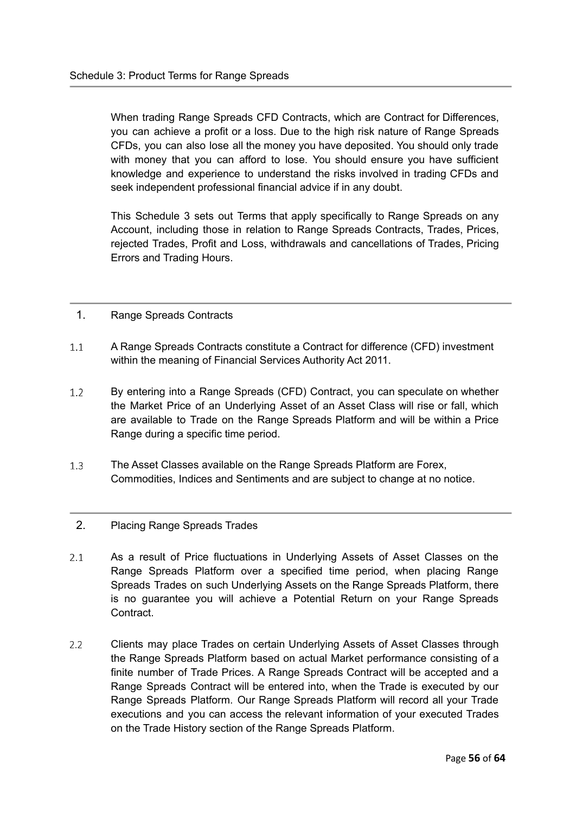When trading Range Spreads CFD Contracts, which are Contract for Differences, you can achieve a profit or a loss. Due to the high risk nature of Range Spreads CFDs, you can also lose all the money you have deposited. You should only trade with money that you can afford to lose. You should ensure you have sufficient knowledge and experience to understand the risks involved in trading CFDs and seek independent professional financial advice if in any doubt.

This Schedule 3 sets out Terms that apply specifically to Range Spreads on any Account, including those in relation to Range Spreads Contracts, Trades, Prices, rejected Trades, Profit and Loss, withdrawals and cancellations of Trades, Pricing Errors and Trading Hours.

#### <span id="page-55-0"></span>1. Range Spreads Contracts

- $1.1$ A Range Spreads Contracts constitute a Contract for difference (CFD) investment within the meaning of Financial Services Authority Act 2011.
- $1.2$ By entering into a Range Spreads (CFD) Contract, you can speculate on whether the Market Price of an Underlying Asset of an Asset Class will rise or fall, which are available to Trade on the Range Spreads Platform and will be within a Price Range during a specific time period.
- $1.3$ The Asset Classes available on the Range Spreads Platform are Forex, Commodities, Indices and Sentiments and are subject to change at no notice.

#### <span id="page-55-1"></span>2. Placing Range Spreads Trades

- $2.1$ As a result of Price fluctuations in Underlying Assets of Asset Classes on the Range Spreads Platform over a specified time period, when placing Range Spreads Trades on such Underlying Assets on the Range Spreads Platform, there is no guarantee you will achieve a Potential Return on your Range Spreads Contract.
- $2.2$ Clients may place Trades on certain Underlying Assets of Asset Classes through the Range Spreads Platform based on actual Market performance consisting of a finite number of Trade Prices. A Range Spreads Contract will be accepted and a Range Spreads Contract will be entered into, when the Trade is executed by our Range Spreads Platform. Our Range Spreads Platform will record all your Trade executions and you can access the relevant information of your executed Trades on the Trade History section of the Range Spreads Platform.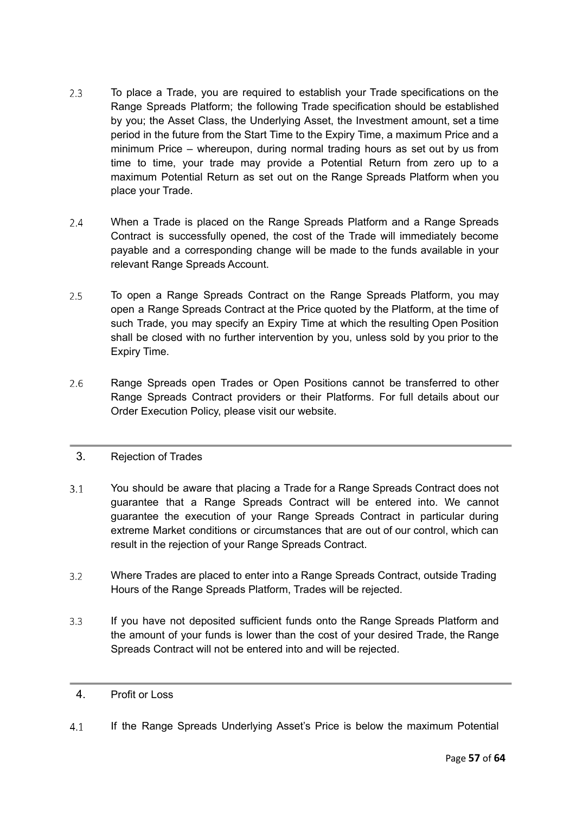- $2.3$ To place a Trade, you are required to establish your Trade specifications on the Range Spreads Platform; the following Trade specification should be established by you; the Asset Class, the Underlying Asset, the Investment amount, set a time period in the future from the Start Time to the Expiry Time, a maximum Price and a minimum Price – whereupon, during normal trading hours as set out by us from time to time, your trade may provide a Potential Return from zero up to a maximum Potential Return as set out on the Range Spreads Platform when you place your Trade.
- $2.4$ When a Trade is placed on the Range Spreads Platform and a Range Spreads Contract is successfully opened, the cost of the Trade will immediately become payable and a corresponding change will be made to the funds available in your relevant Range Spreads Account.
- $2.5^{\circ}$ To open a Range Spreads Contract on the Range Spreads Platform, you may open a Range Spreads Contract at the Price quoted by the Platform, at the time of such Trade, you may specify an Expiry Time at which the resulting Open Position shall be closed with no further intervention by you, unless sold by you prior to the Expiry Time.
- $2.6$ Range Spreads open Trades or Open Positions cannot be transferred to other Range Spreads Contract providers or their Platforms. For full details about our Order Execution Policy, please visit our website.

# <span id="page-56-0"></span>3. Rejection of Trades

- $3.1$ You should be aware that placing a Trade for a Range Spreads Contract does not guarantee that a Range Spreads Contract will be entered into. We cannot guarantee the execution of your Range Spreads Contract in particular during extreme Market conditions or circumstances that are out of our control, which can result in the rejection of your Range Spreads Contract.
- $3.2$ Where Trades are placed to enter into a Range Spreads Contract, outside Trading Hours of the Range Spreads Platform, Trades will be rejected.
- $3.3$ If you have not deposited sufficient funds onto the Range Spreads Platform and the amount of your funds is lower than the cost of your desired Trade, the Range Spreads Contract will not be entered into and will be rejected.

#### <span id="page-56-1"></span>4. Profit or Loss

 $4.1$ If the Range Spreads Underlying Asset's Price is below the maximum Potential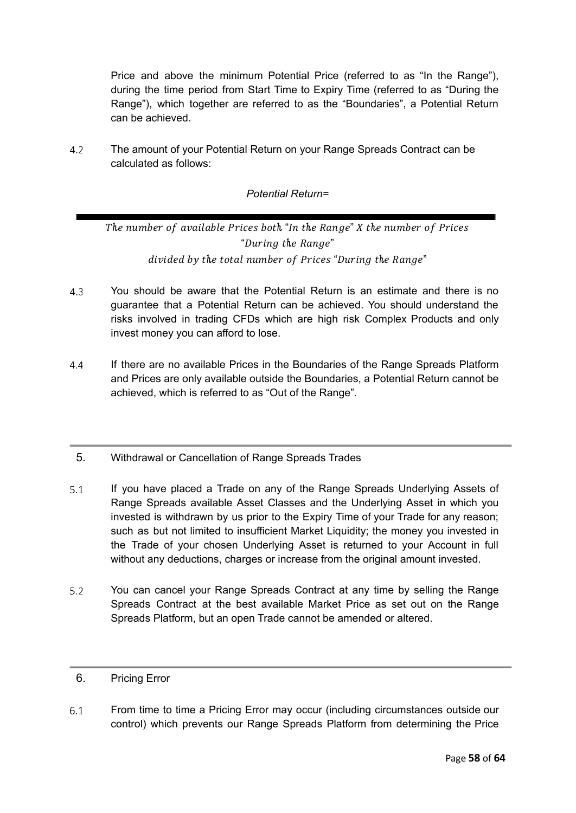Price and above the minimum Potential Price (referred to as "In the Range"), during the time period from Start Time to Expiry Time (referred to as "During the Range"), which together are referred to as the "Boundaries", a Potential Return can be achieved.

4.2 The amount of your Potential Return on your Range Spreads Contract can be calculated as follows:

# *Potential Return=*

The number of available Prices both "In the Range" X the number of Prices "During the Range" divided by the total number of Prices "During the Range"

- $4.3$ You should be aware that the Potential Return is an estimate and there is no guarantee that a Potential Return can be achieved. You should understand the risks involved in trading CFDs which are high risk Complex Products and only invest money you can afford to lose.
- $4.4$ If there are no available Prices in the Boundaries of the Range Spreads Platform and Prices are only available outside the Boundaries, a Potential Return cannot be achieved, which is referred to as "Out of the Range".
- <span id="page-57-0"></span>5. Withdrawal or Cancellation of Range Spreads Trades
- If you have placed a Trade on any of the Range Spreads Underlying Assets of  $5.1$ Range Spreads available Asset Classes and the Underlying Asset in which you invested is withdrawn by us prior to the Expiry Time of your Trade for any reason; such as but not limited to insufficient Market Liquidity; the money you invested in the Trade of your chosen Underlying Asset is returned to your Account in full without any deductions, charges or increase from the original amount invested.
- $5.2$ You can cancel your Range Spreads Contract at any time by selling the Range Spreads Contract at the best available Market Price as set out on the Range Spreads Platform, but an open Trade cannot be amended or altered.

#### <span id="page-57-1"></span>6. Pricing Error

 $6.1$ From time to time a Pricing Error may occur (including circumstances outside our control) which prevents our Range Spreads Platform from determining the Price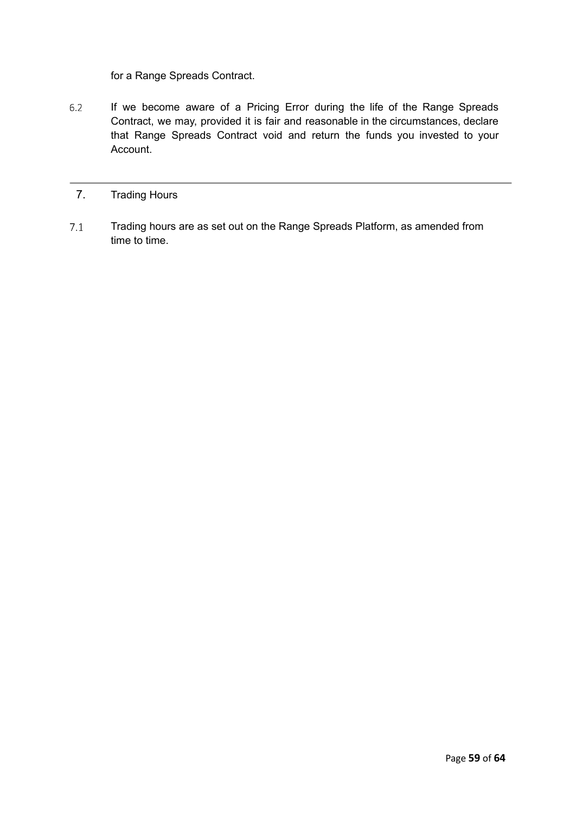for a Range Spreads Contract.

 $6.2$ If we become aware of a Pricing Error during the life of the Range Spreads Contract, we may, provided it is fair and reasonable in the circumstances, declare that Range Spreads Contract void and return the funds you invested to your Account.

#### <span id="page-58-0"></span>7. Trading Hours

 $7.1$ Trading hours are as set out on the Range Spreads Platform, as amended from time to time.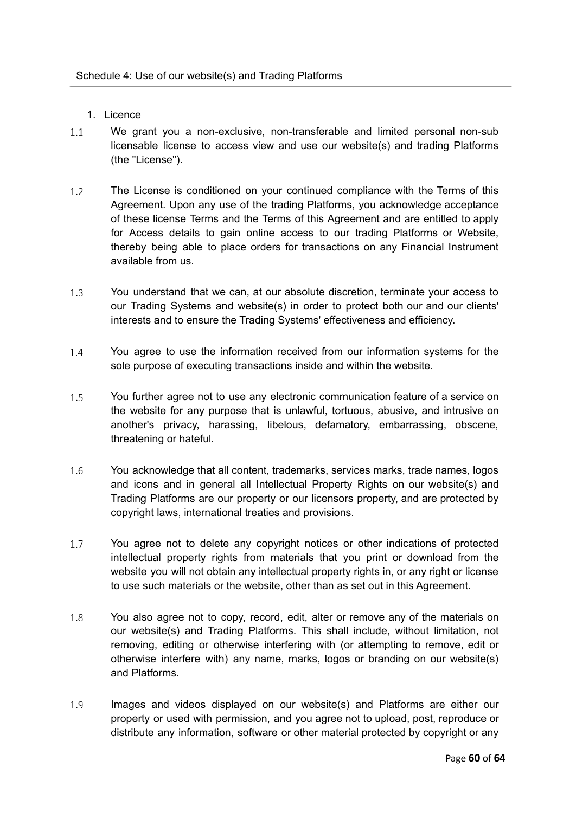- <span id="page-59-0"></span>1. Licence
- <span id="page-59-1"></span> $1.1$ We grant you a non-exclusive, non-transferable and limited personal non-sub licensable license to access view and use our website(s) and trading Platforms (the "License").
- $1.2$ The License is conditioned on your continued compliance with the Terms of this Agreement. Upon any use of the trading Platforms, you acknowledge acceptance of these license Terms and the Terms of this Agreement and are entitled to apply for Access details to gain online access to our trading Platforms or Website, thereby being able to place orders for transactions on any Financial Instrument available from us.
- $1.3$ You understand that we can, at our absolute discretion, terminate your access to our Trading Systems and website(s) in order to protect both our and our clients' interests and to ensure the Trading Systems' effectiveness and efficiency.
- $1.4$ You agree to use the information received from our information systems for the sole purpose of executing transactions inside and within the website.
- $1.5$ You further agree not to use any electronic communication feature of a service on the website for any purpose that is unlawful, tortuous, abusive, and intrusive on another's privacy, harassing, libelous, defamatory, embarrassing, obscene, threatening or hateful.
- You acknowledge that all content, trademarks, services marks, trade names, logos 1.6 and icons and in general all Intellectual Property Rights on our website(s) and Trading Platforms are our property or our licensors property, and are protected by copyright laws, international treaties and provisions.
- $1.7$ You agree not to delete any copyright notices or other indications of protected intellectual property rights from materials that you print or download from the website you will not obtain any intellectual property rights in, or any right or license to use such materials or the website, other than as set out in this Agreement.
- 1.8 You also agree not to copy, record, edit, alter or remove any of the materials on our website(s) and Trading Platforms. This shall include, without limitation, not removing, editing or otherwise interfering with (or attempting to remove, edit or otherwise interfere with) any name, marks, logos or branding on our website(s) and Platforms.
- 1.9 Images and videos displayed on our website(s) and Platforms are either our property or used with permission, and you agree not to upload, post, reproduce or distribute any information, software or other material protected by copyright or any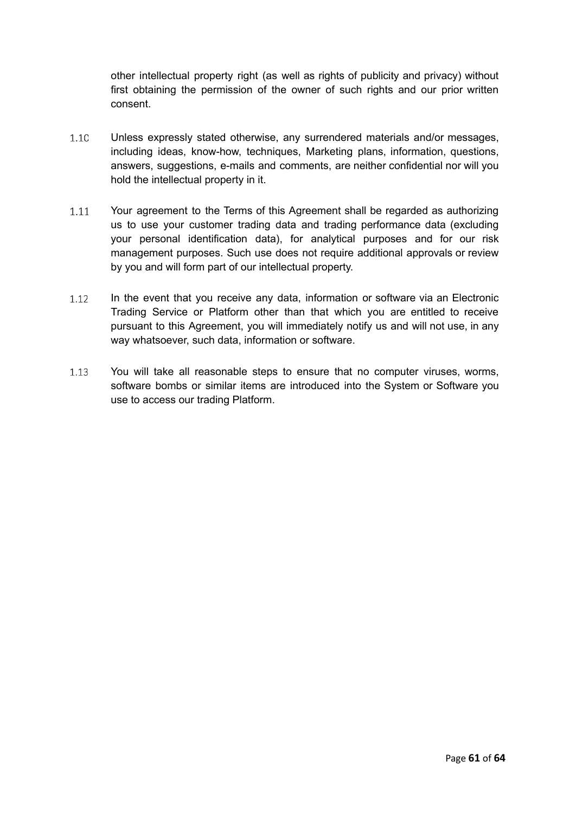other intellectual property right (as well as rights of publicity and privacy) without first obtaining the permission of the owner of such rights and our prior written consent.

- Unless expressly stated otherwise, any surrendered materials and/or messages,  $1.10$ including ideas, know-how, techniques, Marketing plans, information, questions, answers, suggestions, e-mails and comments, are neither confidential nor will you hold the intellectual property in it.
- Your agreement to the Terms of this Agreement shall be regarded as authorizing  $1.11$ us to use your customer trading data and trading performance data (excluding your personal identification data), for analytical purposes and for our risk management purposes. Such use does not require additional approvals or review by you and will form part of our intellectual property.
- In the event that you receive any data, information or software via an Electronic  $1.12$ Trading Service or Platform other than that which you are entitled to receive pursuant to this Agreement, you will immediately notify us and will not use, in any way whatsoever, such data, information or software.
- $1.13$ You will take all reasonable steps to ensure that no computer viruses, worms, software bombs or similar items are introduced into the System or Software you use to access our trading Platform.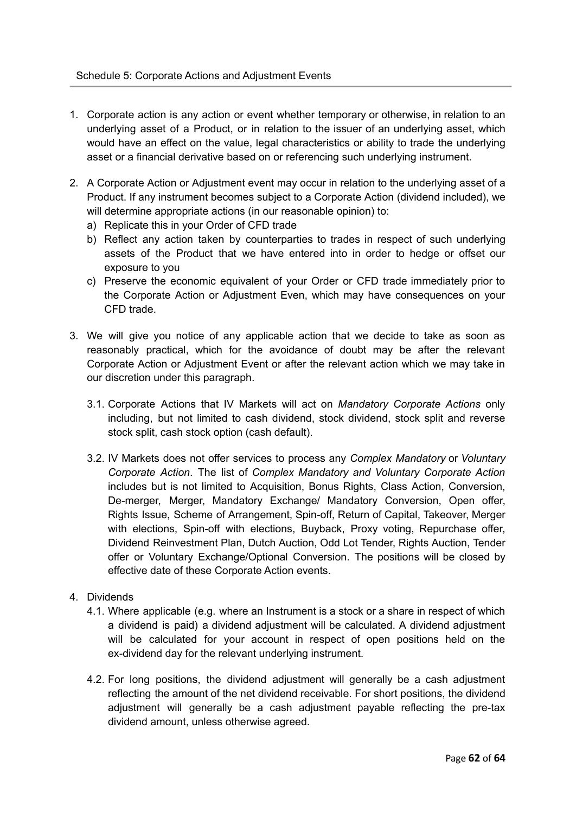- 1. Corporate action is any action or event whether temporary or otherwise, in relation to an underlying asset of a Product, or in relation to the issuer of an underlying asset, which would have an effect on the value, legal characteristics or ability to trade the underlying asset or a financial derivative based on or referencing such underlying instrument.
- 2. A Corporate Action or Adjustment event may occur in relation to the underlying asset of a Product. If any instrument becomes subject to a Corporate Action (dividend included), we will determine appropriate actions (in our reasonable opinion) to:
	- a) Replicate this in your Order of CFD trade
	- b) Reflect any action taken by counterparties to trades in respect of such underlying assets of the Product that we have entered into in order to hedge or offset our exposure to you
	- c) Preserve the economic equivalent of your Order or CFD trade immediately prior to the Corporate Action or Adjustment Even, which may have consequences on your CFD trade.
- 3. We will give you notice of any applicable action that we decide to take as soon as reasonably practical, which for the avoidance of doubt may be after the relevant Corporate Action or Adjustment Event or after the relevant action which we may take in our discretion under this paragraph.
	- 3.1. Corporate Actions that IV Markets will act on *Mandatory Corporate Actions* only including, but not limited to cash dividend, stock dividend, stock split and reverse stock split, cash stock option (cash default).
	- 3.2. IV Markets does not offer services to process any *Complex Mandatory* or *Voluntary Corporate Action*. The list of *Complex Mandatory and Voluntary Corporate Action* includes but is not limited to Acquisition, Bonus Rights, Class Action, Conversion, De-merger, Merger, Mandatory Exchange/ Mandatory Conversion, Open offer, Rights Issue, Scheme of Arrangement, Spin-off, Return of Capital, Takeover, Merger with elections, Spin-off with elections, Buyback, Proxy voting, Repurchase offer, Dividend Reinvestment Plan, Dutch Auction, Odd Lot Tender, Rights Auction, Tender offer or Voluntary Exchange/Optional Conversion. The positions will be closed by effective date of these Corporate Action events.
- 4. Dividends
	- 4.1. Where applicable (e.g. where an Instrument is a stock or a share in respect of which a dividend is paid) a dividend adjustment will be calculated. A dividend adjustment will be calculated for your account in respect of open positions held on the ex-dividend day for the relevant underlying instrument.
	- 4.2. For long positions, the dividend adjustment will generally be a cash adjustment reflecting the amount of the net dividend receivable. For short positions, the dividend adjustment will generally be a cash adjustment payable reflecting the pre-tax dividend amount, unless otherwise agreed.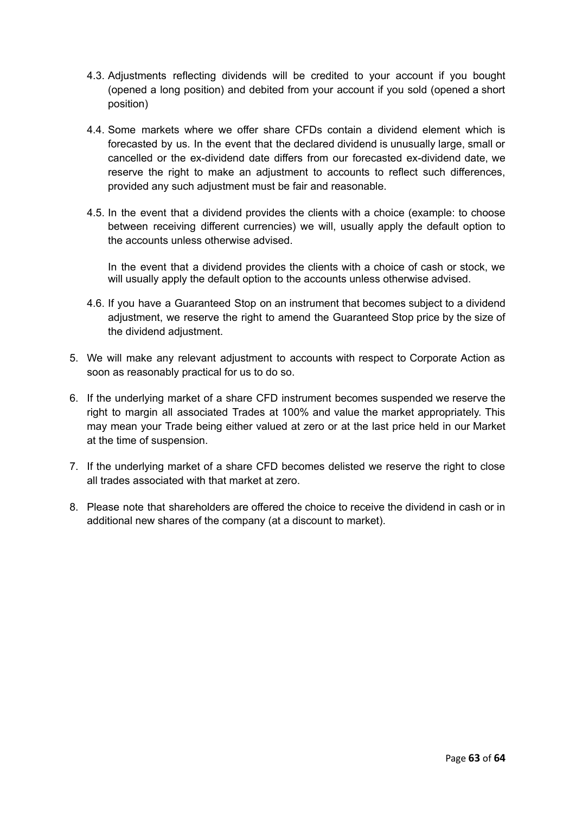- 4.3. Adjustments reflecting dividends will be credited to your account if you bought (opened a long position) and debited from your account if you sold (opened a short position)
- 4.4. Some markets where we offer share CFDs contain a dividend element which is forecasted by us. In the event that the declared dividend is unusually large, small or cancelled or the ex-dividend date differs from our forecasted ex-dividend date, we reserve the right to make an adjustment to accounts to reflect such differences, provided any such adjustment must be fair and reasonable.
- 4.5. In the event that a dividend provides the clients with a choice (example: to choose between receiving different currencies) we will, usually apply the default option to the accounts unless otherwise advised.

In the event that a dividend provides the clients with a choice of cash or stock, we will usually apply the default option to the accounts unless otherwise advised.

- 4.6. If you have a Guaranteed Stop on an instrument that becomes subject to a dividend adjustment, we reserve the right to amend the Guaranteed Stop price by the size of the dividend adjustment.
- 5. We will make any relevant adjustment to accounts with respect to Corporate Action as soon as reasonably practical for us to do so.
- 6. If the underlying market of a share CFD instrument becomes suspended we reserve the right to margin all associated Trades at 100% and value the market appropriately. This may mean your Trade being either valued at zero or at the last price held in our Market at the time of suspension.
- 7. If the underlying market of a share CFD becomes delisted we reserve the right to close all trades associated with that market at zero.
- 8. Please note that shareholders are offered the choice to receive the dividend in cash or in additional new shares of the company (at a discount to market).